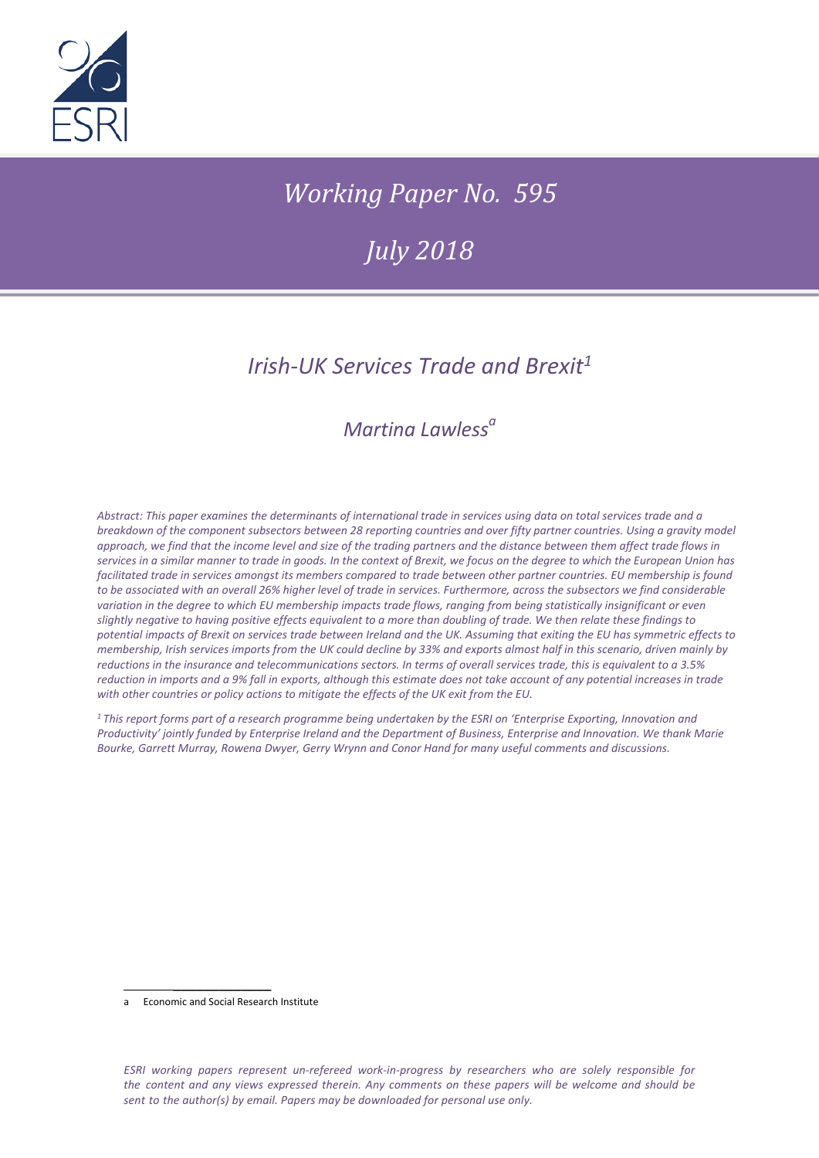

# *Working Paper No. 595*

*July 2018*

# *Irish-UK Services Trade and Brexit<sup>1</sup>*

## *Martina Lawless<sup>a</sup>*

*Abstract: This paper examines the determinants of international trade in services using data on total services trade and a breakdown of the component subsectors between 28 reporting countries and over fifty partner countries. Using a gravity model approach, we find that the income level and size of the trading partners and the distance between them affect trade flows in services in a similar manner to trade in goods. In the context of Brexit, we focus on the degree to which the European Union has facilitated trade in services amongst its members compared to trade between other partner countries. EU membership is found to be associated with an overall 26% higher level of trade in services. Furthermore, across the subsectors we find considerable variation in the degree to which EU membership impacts trade flows, ranging from being statistically insignificant or even slightly negative to having positive effects equivalent to a more than doubling of trade. We then relate these findings to potential impacts of Brexit on services trade between Ireland and the UK. Assuming that exiting the EU has symmetric effects to membership, Irish services imports from the UK could decline by 33% and exports almost half in this scenario, driven mainly by reductions in the insurance and telecommunications sectors. In terms of overall services trade, this is equivalent to a 3.5% reduction in imports and a 9% fall in exports, although this estimate does not take account of any potential increases in trade with other countries or policy actions to mitigate the effects of the UK exit from the EU.*

*<sup>1</sup>This report forms part of a research programme being undertaken by the ESRI on 'Enterprise Exporting, Innovation and Productivity' jointly funded by Enterprise Ireland and the Department of Business, Enterprise and Innovation. We thank Marie Bourke, Garrett Murray, Rowena Dwyer, Gerry Wrynn and Conor Hand for many useful comments and discussions.* 

\_\_\_\_\_\_\_\_\_\_\_\_\_ a Economic and Social Research Institute

*ESRI working papers represent un-refereed work-in-progress by researchers who are solely responsible for the content and any views expressed therein. Any comments on these papers will be welcome and should be sent to the author(s) by email. Papers may be downloaded for personal use only.*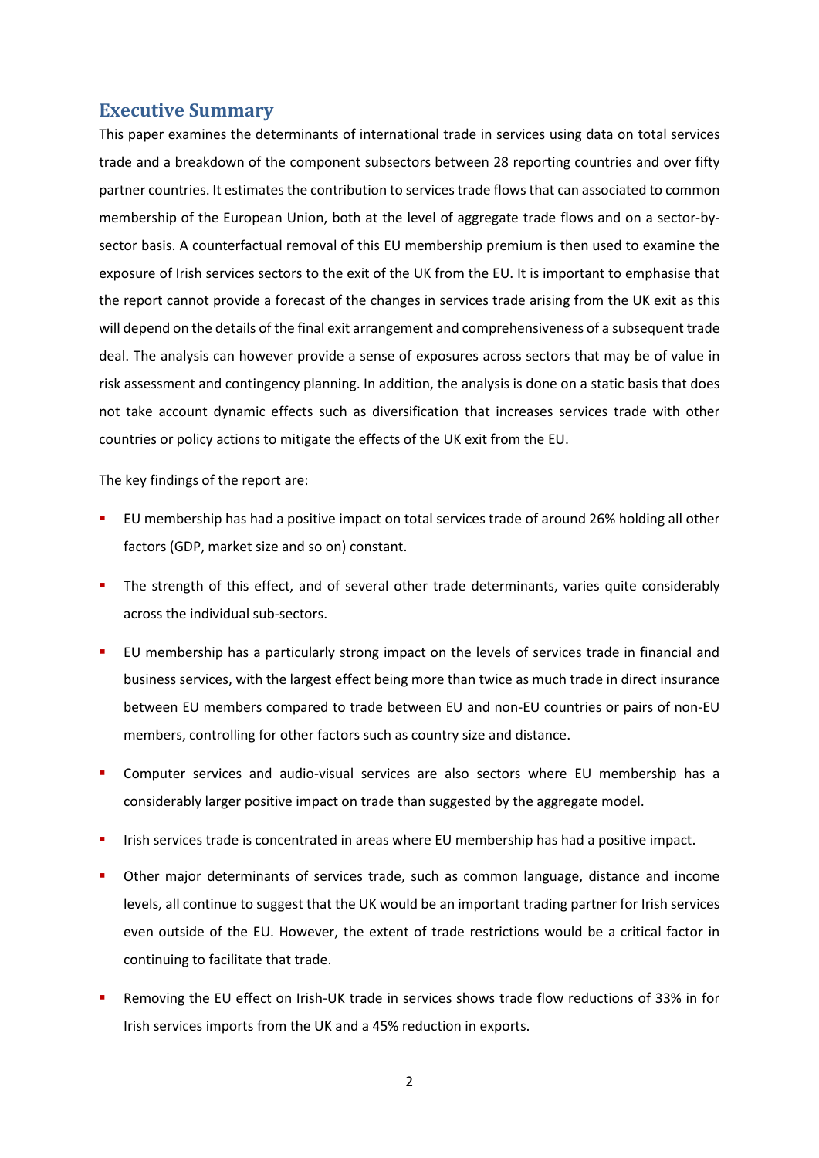#### **Executive Summary**

This paper examines the determinants of international trade in services using data on total services trade and a breakdown of the component subsectors between 28 reporting countries and over fifty partner countries. It estimates the contribution to services trade flows that can associated to common membership of the European Union, both at the level of aggregate trade flows and on a sector-bysector basis. A counterfactual removal of this EU membership premium is then used to examine the exposure of Irish services sectors to the exit of the UK from the EU. It is important to emphasise that the report cannot provide a forecast of the changes in services trade arising from the UK exit as this will depend on the details of the final exit arrangement and comprehensiveness of a subsequent trade deal. The analysis can however provide a sense of exposures across sectors that may be of value in risk assessment and contingency planning. In addition, the analysis is done on a static basis that does not take account dynamic effects such as diversification that increases services trade with other countries or policy actions to mitigate the effects of the UK exit from the EU.

The key findings of the report are:

- EU membership has had a positive impact on total services trade of around 26% holding all other factors (GDP, market size and so on) constant.
- The strength of this effect, and of several other trade determinants, varies quite considerably across the individual sub-sectors.
- EU membership has a particularly strong impact on the levels of services trade in financial and business services, with the largest effect being more than twice as much trade in direct insurance between EU members compared to trade between EU and non-EU countries or pairs of non-EU members, controlling for other factors such as country size and distance.
- Computer services and audio-visual services are also sectors where EU membership has a considerably larger positive impact on trade than suggested by the aggregate model.
- Irish services trade is concentrated in areas where EU membership has had a positive impact.
- Other major determinants of services trade, such as common language, distance and income levels, all continue to suggest that the UK would be an important trading partner for Irish services even outside of the EU. However, the extent of trade restrictions would be a critical factor in continuing to facilitate that trade.
- Removing the EU effect on Irish-UK trade in services shows trade flow reductions of 33% in for Irish services imports from the UK and a 45% reduction in exports.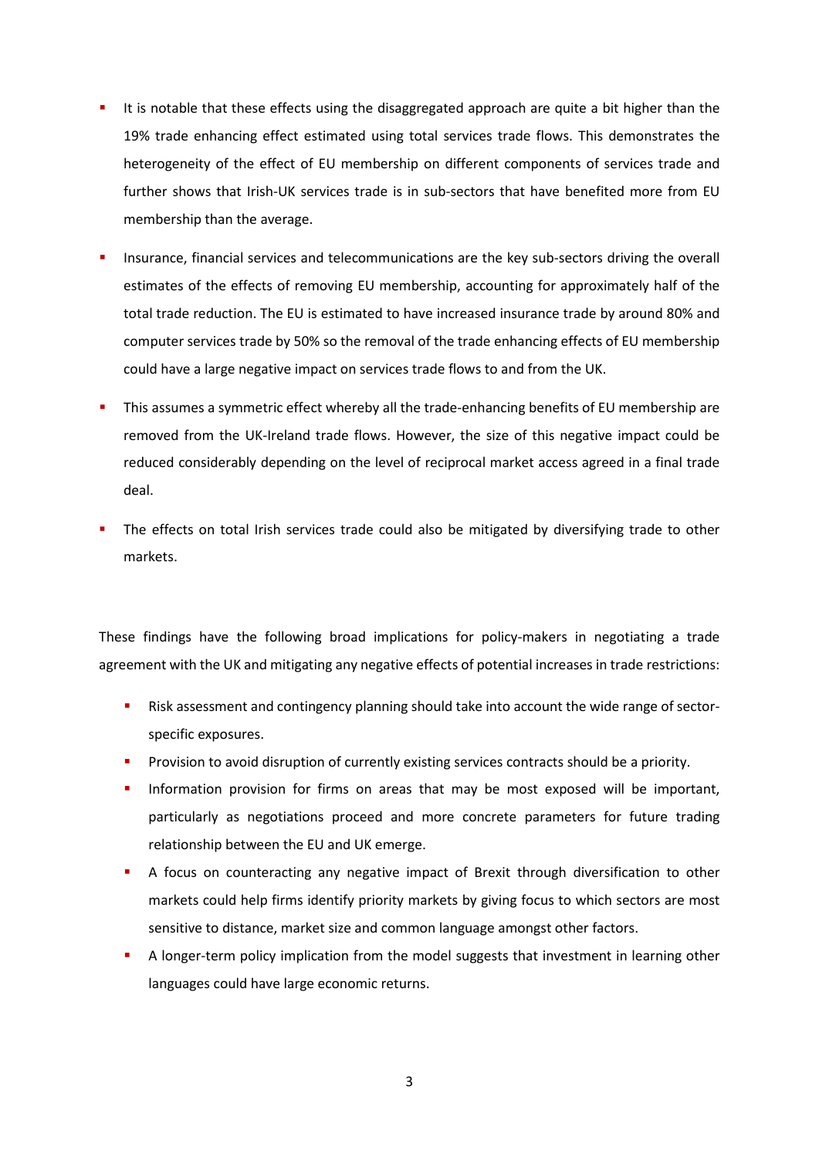- It is notable that these effects using the disaggregated approach are quite a bit higher than the 19% trade enhancing effect estimated using total services trade flows. This demonstrates the heterogeneity of the effect of EU membership on different components of services trade and further shows that Irish-UK services trade is in sub-sectors that have benefited more from EU membership than the average.
- Insurance, financial services and telecommunications are the key sub-sectors driving the overall estimates of the effects of removing EU membership, accounting for approximately half of the total trade reduction. The EU is estimated to have increased insurance trade by around 80% and computer services trade by 50% so the removal of the trade enhancing effects of EU membership could have a large negative impact on services trade flows to and from the UK.
- This assumes a symmetric effect whereby all the trade-enhancing benefits of EU membership are removed from the UK-Ireland trade flows. However, the size of this negative impact could be reduced considerably depending on the level of reciprocal market access agreed in a final trade deal.
- The effects on total Irish services trade could also be mitigated by diversifying trade to other markets.

These findings have the following broad implications for policy-makers in negotiating a trade agreement with the UK and mitigating any negative effects of potential increases in trade restrictions:

- Risk assessment and contingency planning should take into account the wide range of sectorspecific exposures.
- Provision to avoid disruption of currently existing services contracts should be a priority.
- **Information provision for firms on areas that may be most exposed will be important,** particularly as negotiations proceed and more concrete parameters for future trading relationship between the EU and UK emerge.
- A focus on counteracting any negative impact of Brexit through diversification to other markets could help firms identify priority markets by giving focus to which sectors are most sensitive to distance, market size and common language amongst other factors.
- A longer-term policy implication from the model suggests that investment in learning other languages could have large economic returns.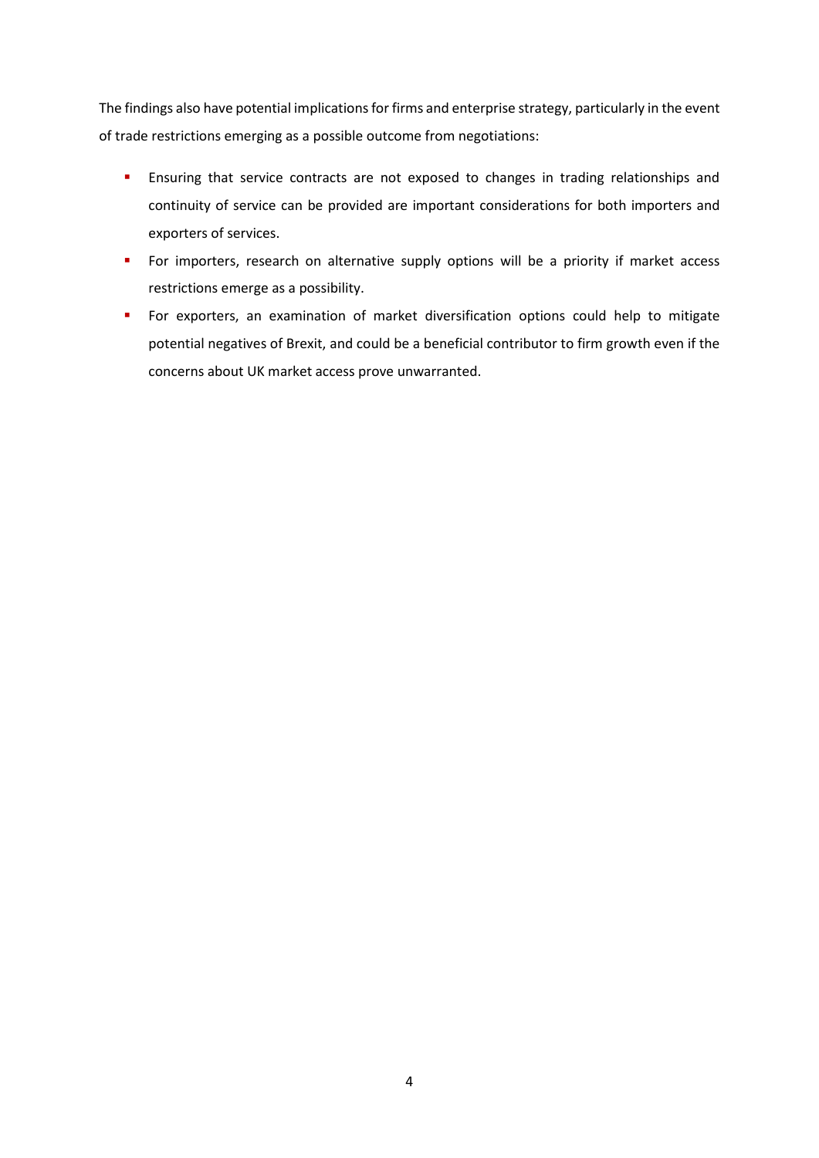The findings also have potential implications for firms and enterprise strategy, particularly in the event of trade restrictions emerging as a possible outcome from negotiations:

- **Ensuring that service contracts are not exposed to changes in trading relationships and** continuity of service can be provided are important considerations for both importers and exporters of services.
- **For importers, research on alternative supply options will be a priority if market access** restrictions emerge as a possibility.
- **For exporters, an examination of market diversification options could help to mitigate** potential negatives of Brexit, and could be a beneficial contributor to firm growth even if the concerns about UK market access prove unwarranted.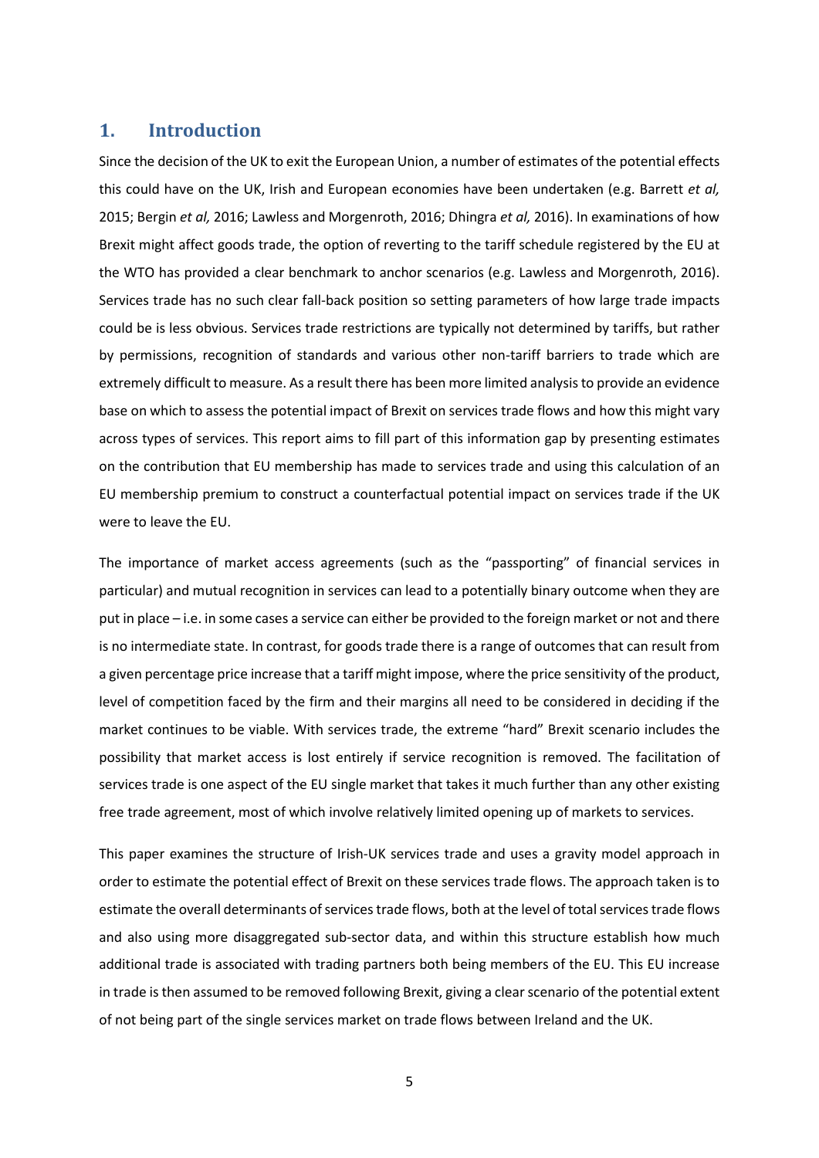#### **1. Introduction**

Since the decision of the UK to exit the European Union, a number of estimates of the potential effects this could have on the UK, Irish and European economies have been undertaken (e.g. Barrett *et al,* 2015; Bergin *et al,* 2016; Lawless and Morgenroth, 2016; Dhingra *et al,* 2016). In examinations of how Brexit might affect goods trade, the option of reverting to the tariff schedule registered by the EU at the WTO has provided a clear benchmark to anchor scenarios (e.g. Lawless and Morgenroth, 2016). Services trade has no such clear fall-back position so setting parameters of how large trade impacts could be is less obvious. Services trade restrictions are typically not determined by tariffs, but rather by permissions, recognition of standards and various other non-tariff barriers to trade which are extremely difficult to measure. As a result there has been more limited analysis to provide an evidence base on which to assess the potential impact of Brexit on services trade flows and how this might vary across types of services. This report aims to fill part of this information gap by presenting estimates on the contribution that EU membership has made to services trade and using this calculation of an EU membership premium to construct a counterfactual potential impact on services trade if the UK were to leave the EU.

The importance of market access agreements (such as the "passporting" of financial services in particular) and mutual recognition in services can lead to a potentially binary outcome when they are put in place – i.e. in some cases a service can either be provided to the foreign market or not and there is no intermediate state. In contrast, for goods trade there is a range of outcomes that can result from a given percentage price increase that a tariff might impose, where the price sensitivity of the product, level of competition faced by the firm and their margins all need to be considered in deciding if the market continues to be viable. With services trade, the extreme "hard" Brexit scenario includes the possibility that market access is lost entirely if service recognition is removed. The facilitation of services trade is one aspect of the EU single market that takes it much further than any other existing free trade agreement, most of which involve relatively limited opening up of markets to services.

This paper examines the structure of Irish-UK services trade and uses a gravity model approach in order to estimate the potential effect of Brexit on these services trade flows. The approach taken is to estimate the overall determinants of services trade flows, both at the level of total services trade flows and also using more disaggregated sub-sector data, and within this structure establish how much additional trade is associated with trading partners both being members of the EU. This EU increase in trade is then assumed to be removed following Brexit, giving a clear scenario of the potential extent of not being part of the single services market on trade flows between Ireland and the UK.

5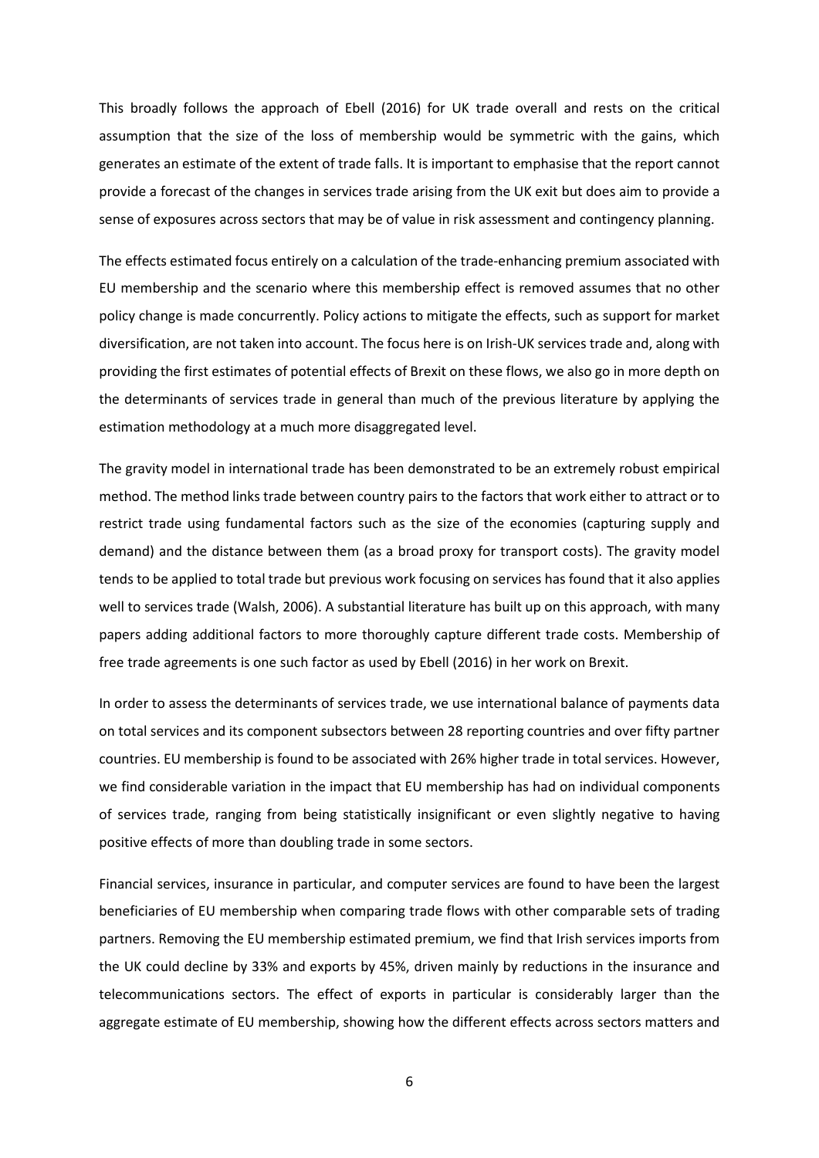This broadly follows the approach of Ebell (2016) for UK trade overall and rests on the critical assumption that the size of the loss of membership would be symmetric with the gains, which generates an estimate of the extent of trade falls. It is important to emphasise that the report cannot provide a forecast of the changes in services trade arising from the UK exit but does aim to provide a sense of exposures across sectors that may be of value in risk assessment and contingency planning.

The effects estimated focus entirely on a calculation of the trade-enhancing premium associated with EU membership and the scenario where this membership effect is removed assumes that no other policy change is made concurrently. Policy actions to mitigate the effects, such as support for market diversification, are not taken into account. The focus here is on Irish-UK services trade and, along with providing the first estimates of potential effects of Brexit on these flows, we also go in more depth on the determinants of services trade in general than much of the previous literature by applying the estimation methodology at a much more disaggregated level.

The gravity model in international trade has been demonstrated to be an extremely robust empirical method. The method links trade between country pairs to the factors that work either to attract or to restrict trade using fundamental factors such as the size of the economies (capturing supply and demand) and the distance between them (as a broad proxy for transport costs). The gravity model tends to be applied to total trade but previous work focusing on services has found that it also applies well to services trade (Walsh, 2006). A substantial literature has built up on this approach, with many papers adding additional factors to more thoroughly capture different trade costs. Membership of free trade agreements is one such factor as used by Ebell (2016) in her work on Brexit.

In order to assess the determinants of services trade, we use international balance of payments data on total services and its component subsectors between 28 reporting countries and over fifty partner countries. EU membership is found to be associated with 26% higher trade in total services. However, we find considerable variation in the impact that EU membership has had on individual components of services trade, ranging from being statistically insignificant or even slightly negative to having positive effects of more than doubling trade in some sectors.

Financial services, insurance in particular, and computer services are found to have been the largest beneficiaries of EU membership when comparing trade flows with other comparable sets of trading partners. Removing the EU membership estimated premium, we find that Irish services imports from the UK could decline by 33% and exports by 45%, driven mainly by reductions in the insurance and telecommunications sectors. The effect of exports in particular is considerably larger than the aggregate estimate of EU membership, showing how the different effects across sectors matters and

6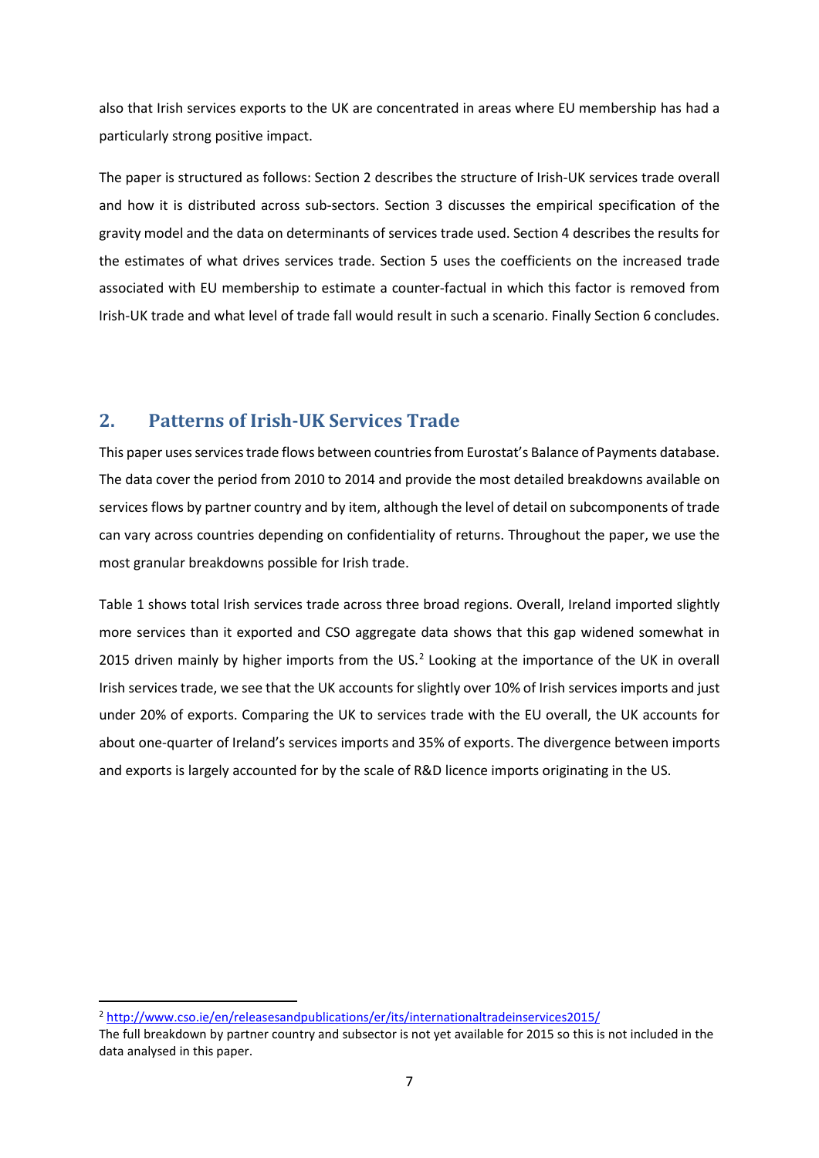also that Irish services exports to the UK are concentrated in areas where EU membership has had a particularly strong positive impact.

The paper is structured as follows: Section 2 describes the structure of Irish-UK services trade overall and how it is distributed across sub-sectors. Section 3 discusses the empirical specification of the gravity model and the data on determinants of services trade used. Section 4 describes the results for the estimates of what drives services trade. Section 5 uses the coefficients on the increased trade associated with EU membership to estimate a counter-factual in which this factor is removed from Irish-UK trade and what level of trade fall would result in such a scenario. Finally Section 6 concludes.

### **2. Patterns of Irish-UK Services Trade**

This paper uses services trade flows between countries from Eurostat's Balance of Payments database. The data cover the period from 2010 to 2014 and provide the most detailed breakdowns available on services flows by partner country and by item, although the level of detail on subcomponents of trade can vary across countries depending on confidentiality of returns. Throughout the paper, we use the most granular breakdowns possible for Irish trade.

Table 1 shows total Irish services trade across three broad regions. Overall, Ireland imported slightly more services than it exported and CSO aggregate data shows that this gap widened somewhat in [2](#page-6-0)015 driven mainly by higher imports from the US.<sup>2</sup> Looking at the importance of the UK in overall Irish services trade, we see that the UK accounts for slightly over 10% of Irish services imports and just under 20% of exports. Comparing the UK to services trade with the EU overall, the UK accounts for about one-quarter of Ireland's services imports and 35% of exports. The divergence between imports and exports is largely accounted for by the scale of R&D licence imports originating in the US.

<span id="page-6-0"></span><sup>&</sup>lt;sup>2</sup> <http://www.cso.ie/en/releasesandpublications/er/its/internationaltradeinservices2015/>

The full breakdown by partner country and subsector is not yet available for 2015 so this is not included in the data analysed in this paper.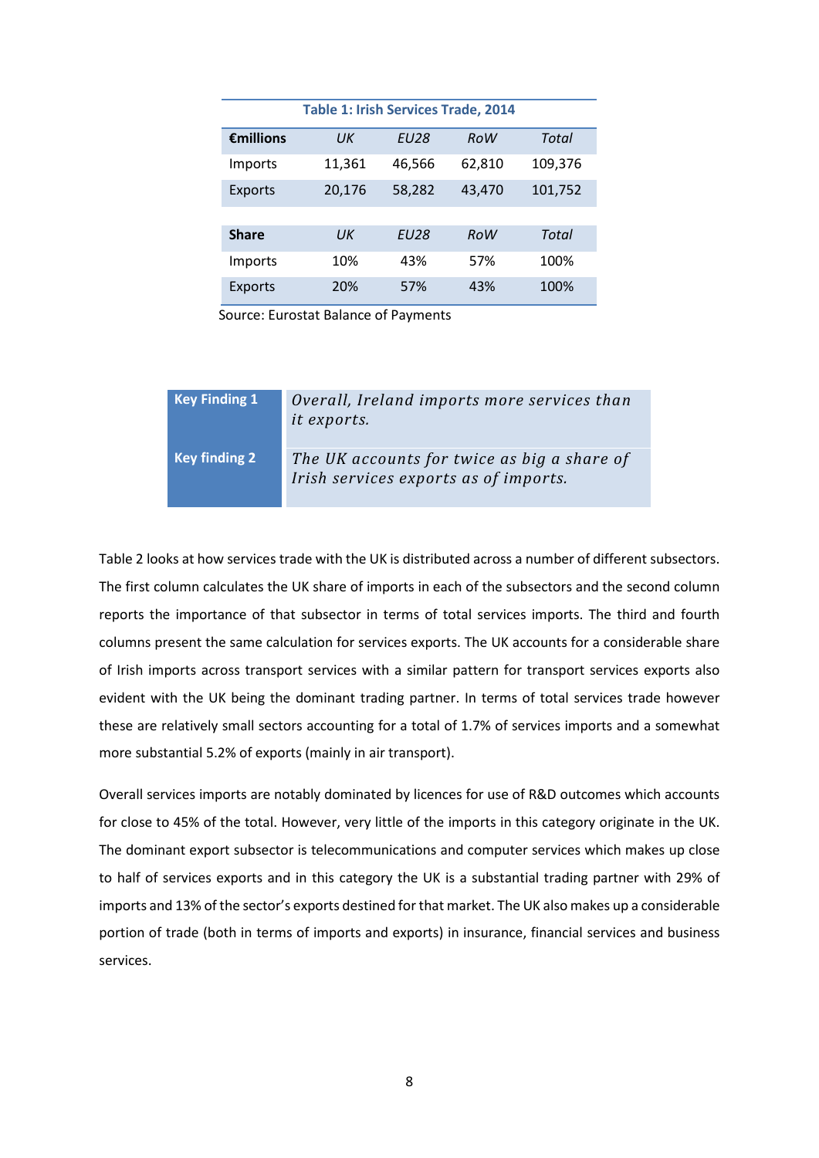| <b>Table 1: Irish Services Trade, 2014</b> |        |             |            |         |  |  |  |
|--------------------------------------------|--------|-------------|------------|---------|--|--|--|
| Emillions                                  | UК     | <b>EU28</b> | RoW        | Total   |  |  |  |
| Imports                                    | 11,361 | 46,566      | 62,810     | 109,376 |  |  |  |
| <b>Exports</b>                             | 20,176 | 58,282      | 43,470     | 101,752 |  |  |  |
|                                            |        |             |            |         |  |  |  |
| <b>Share</b>                               | UК     | <b>FU28</b> | <b>RoW</b> | Total   |  |  |  |
| Imports                                    | 10%    | 43%         | 57%        | 100%    |  |  |  |
| Exports                                    | 20%    | 57%         | 43%        | 100%    |  |  |  |

Source: Eurostat Balance of Payments

| <b>Key Finding 1</b> | Overall, Ireland imports more services than<br>it exports.                           |
|----------------------|--------------------------------------------------------------------------------------|
| <b>Key finding 2</b> | The UK accounts for twice as big a share of<br>Irish services exports as of imports. |

Table 2 looks at how services trade with the UK is distributed across a number of different subsectors. The first column calculates the UK share of imports in each of the subsectors and the second column reports the importance of that subsector in terms of total services imports. The third and fourth columns present the same calculation for services exports. The UK accounts for a considerable share of Irish imports across transport services with a similar pattern for transport services exports also evident with the UK being the dominant trading partner. In terms of total services trade however these are relatively small sectors accounting for a total of 1.7% of services imports and a somewhat more substantial 5.2% of exports (mainly in air transport).

Overall services imports are notably dominated by licences for use of R&D outcomes which accounts for close to 45% of the total. However, very little of the imports in this category originate in the UK. The dominant export subsector is telecommunications and computer services which makes up close to half of services exports and in this category the UK is a substantial trading partner with 29% of imports and 13% of the sector's exports destined for that market. The UK also makes up a considerable portion of trade (both in terms of imports and exports) in insurance, financial services and business services.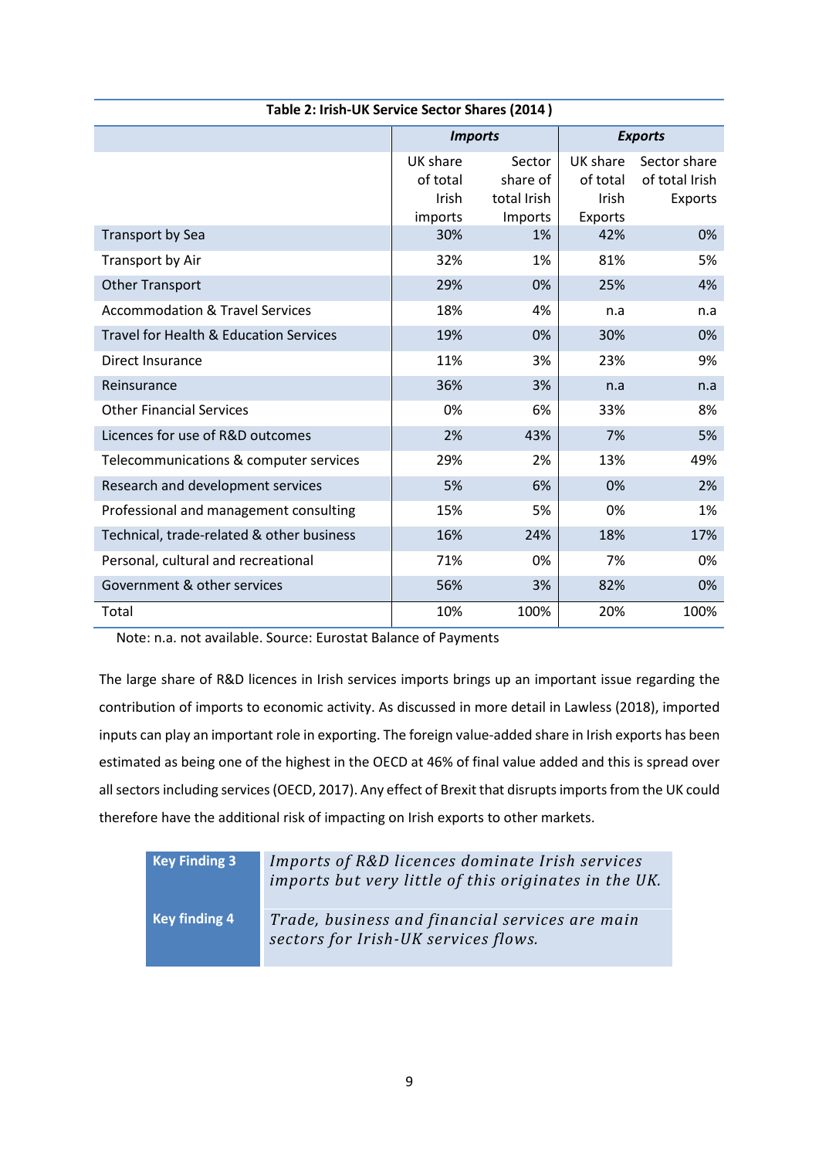| Table 2: Irish-UK Service Sector Shares (2014) |                                          |                                              |                                          |                                           |  |  |
|------------------------------------------------|------------------------------------------|----------------------------------------------|------------------------------------------|-------------------------------------------|--|--|
|                                                | <b>Imports</b>                           |                                              |                                          | <b>Exports</b>                            |  |  |
|                                                | UK share<br>of total<br>Irish<br>imports | Sector<br>share of<br>total Irish<br>Imports | UK share<br>of total<br>Irish<br>Exports | Sector share<br>of total Irish<br>Exports |  |  |
| <b>Transport by Sea</b>                        | 30%                                      | 1%                                           | 42%                                      | 0%                                        |  |  |
| Transport by Air                               | 32%                                      | 1%                                           | 81%                                      | 5%                                        |  |  |
| <b>Other Transport</b>                         | 29%                                      | 0%                                           | 25%                                      | 4%                                        |  |  |
| <b>Accommodation &amp; Travel Services</b>     | 18%                                      | 4%                                           | n.a                                      | n.a                                       |  |  |
| Travel for Health & Education Services         | 19%                                      | 0%                                           | 30%                                      | 0%                                        |  |  |
| Direct Insurance                               | 11%                                      | 3%                                           | 23%                                      | 9%                                        |  |  |
| Reinsurance                                    | 36%                                      | 3%                                           | n.a                                      | n.a                                       |  |  |
| <b>Other Financial Services</b>                | 0%                                       | 6%                                           | 33%                                      | 8%                                        |  |  |
| Licences for use of R&D outcomes               | 2%                                       | 43%                                          | 7%                                       | 5%                                        |  |  |
| Telecommunications & computer services         | 29%                                      | 2%                                           | 13%                                      | 49%                                       |  |  |
| Research and development services              | 5%                                       | 6%                                           | 0%                                       | 2%                                        |  |  |
| Professional and management consulting         | 15%                                      | 5%                                           | 0%                                       | 1%                                        |  |  |
| Technical, trade-related & other business      | 16%                                      | 24%                                          | 18%                                      | 17%                                       |  |  |
| Personal, cultural and recreational            | 71%                                      | 0%                                           | 7%                                       | 0%                                        |  |  |
| Government & other services                    | 56%                                      | 3%                                           | 82%                                      | 0%                                        |  |  |
| Total                                          | 10%                                      | 100%                                         | 20%                                      | 100%                                      |  |  |

Note: n.a. not available. Source: Eurostat Balance of Payments

The large share of R&D licences in Irish services imports brings up an important issue regarding the contribution of imports to economic activity. As discussed in more detail in Lawless (2018), imported inputs can play an important role in exporting. The foreign value-added share in Irish exports has been estimated as being one of the highest in the OECD at 46% of final value added and this is spread over all sectors including services (OECD, 2017). Any effect of Brexit that disrupts imports from the UK could therefore have the additional risk of impacting on Irish exports to other markets.

| Key Finding 3        | Imports of R&D licences dominate Irish services<br>imports but very little of this originates in the UK. |
|----------------------|----------------------------------------------------------------------------------------------------------|
| <b>Key finding 4</b> | Trade, business and financial services are main<br>sectors for Irish-UK services flows.                  |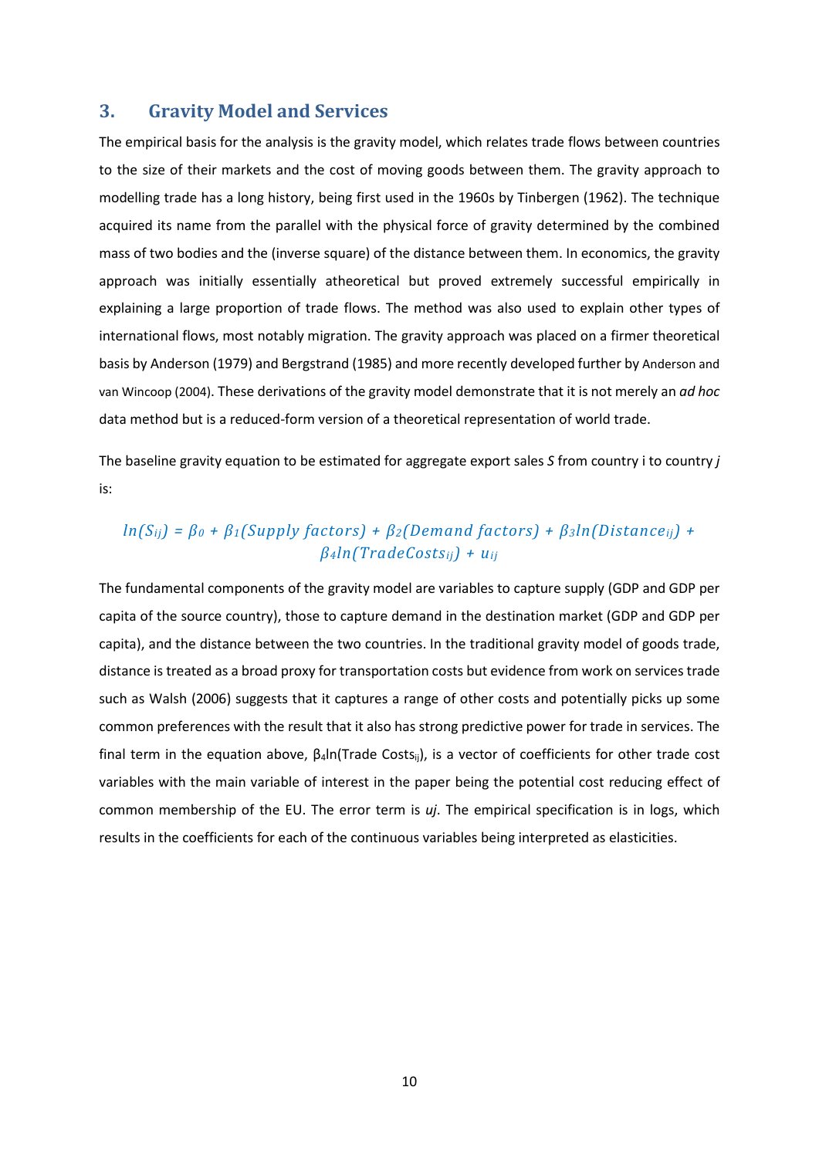#### **3. Gravity Model and Services**

The empirical basis for the analysis is the gravity model, which relates trade flows between countries to the size of their markets and the cost of moving goods between them. The gravity approach to modelling trade has a long history, being first used in the 1960s by Tinbergen (1962). The technique acquired its name from the parallel with the physical force of gravity determined by the combined mass of two bodies and the (inverse square) of the distance between them. In economics, the gravity approach was initially essentially atheoretical but proved extremely successful empirically in explaining a large proportion of trade flows. The method was also used to explain other types of international flows, most notably migration. The gravity approach was placed on a firmer theoretical basis by Anderson (1979) and Bergstrand (1985) and more recently developed further by Anderson and van Wincoop (2004). These derivations of the gravity model demonstrate that it is not merely an *ad hoc*  data method but is a reduced-form version of a theoretical representation of world trade.

The baseline gravity equation to be estimated for aggregate export sales *S* from country i to country *j*  is:

### *ln(Sij) = β<sup>0</sup> + β1(Supply factors) + β2(Demand factors) + β3ln(Distanceij) + β4ln(TradeCostsij) + uij*

The fundamental components of the gravity model are variables to capture supply (GDP and GDP per capita of the source country), those to capture demand in the destination market (GDP and GDP per capita), and the distance between the two countries. In the traditional gravity model of goods trade, distance is treated as a broad proxy for transportation costs but evidence from work on services trade such as Walsh (2006) suggests that it captures a range of other costs and potentially picks up some common preferences with the result that it also has strong predictive power for trade in services. The final term in the equation above, β4ln(Trade Costsij), is a vector of coefficients for other trade cost variables with the main variable of interest in the paper being the potential cost reducing effect of common membership of the EU. The error term is *uj*. The empirical specification is in logs, which results in the coefficients for each of the continuous variables being interpreted as elasticities.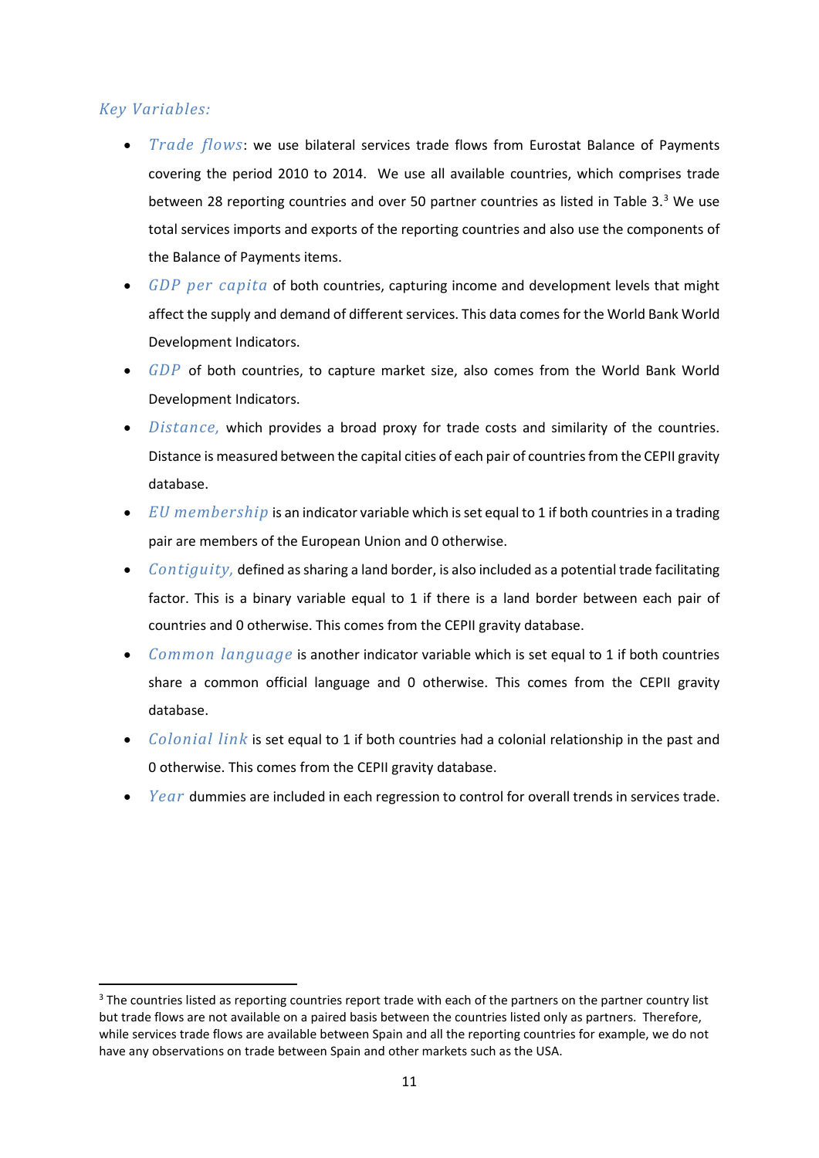### *Key Variables:*

- *Trade flows*: we use bilateral services trade flows from Eurostat Balance of Payments covering the period 2010 to 2014. We use all available countries, which comprises trade between 28 reporting countries and over 50 partner countries as listed in Table [3](#page-10-0).<sup>3</sup> We use total services imports and exports of the reporting countries and also use the components of the Balance of Payments items.
- *GDP per capita* of both countries, capturing income and development levels that might affect the supply and demand of different services. This data comes for the World Bank World Development Indicators.
- *GDP* of both countries, to capture market size, also comes from the World Bank World Development Indicators.
- *Distance,* which provides a broad proxy for trade costs and similarity of the countries. Distance is measured between the capital cities of each pair of countries from the CEPII gravity database.
- *EU membership* is an indicator variable which is set equal to 1 if both countries in a trading pair are members of the European Union and 0 otherwise.
- *Contiguity,* defined as sharing a land border, is also included as a potential trade facilitating factor. This is a binary variable equal to 1 if there is a land border between each pair of countries and 0 otherwise. This comes from the CEPII gravity database.
- *Common language* is another indicator variable which is set equal to 1 if both countries share a common official language and 0 otherwise. This comes from the CEPII gravity database.
- *Colonial link* is set equal to 1 if both countries had a colonial relationship in the past and 0 otherwise. This comes from the CEPII gravity database.
- *Year* dummies are included in each regression to control for overall trends in services trade.

<span id="page-10-0"></span><sup>&</sup>lt;sup>3</sup> The countries listed as reporting countries report trade with each of the partners on the partner country list but trade flows are not available on a paired basis between the countries listed only as partners. Therefore, while services trade flows are available between Spain and all the reporting countries for example, we do not have any observations on trade between Spain and other markets such as the USA.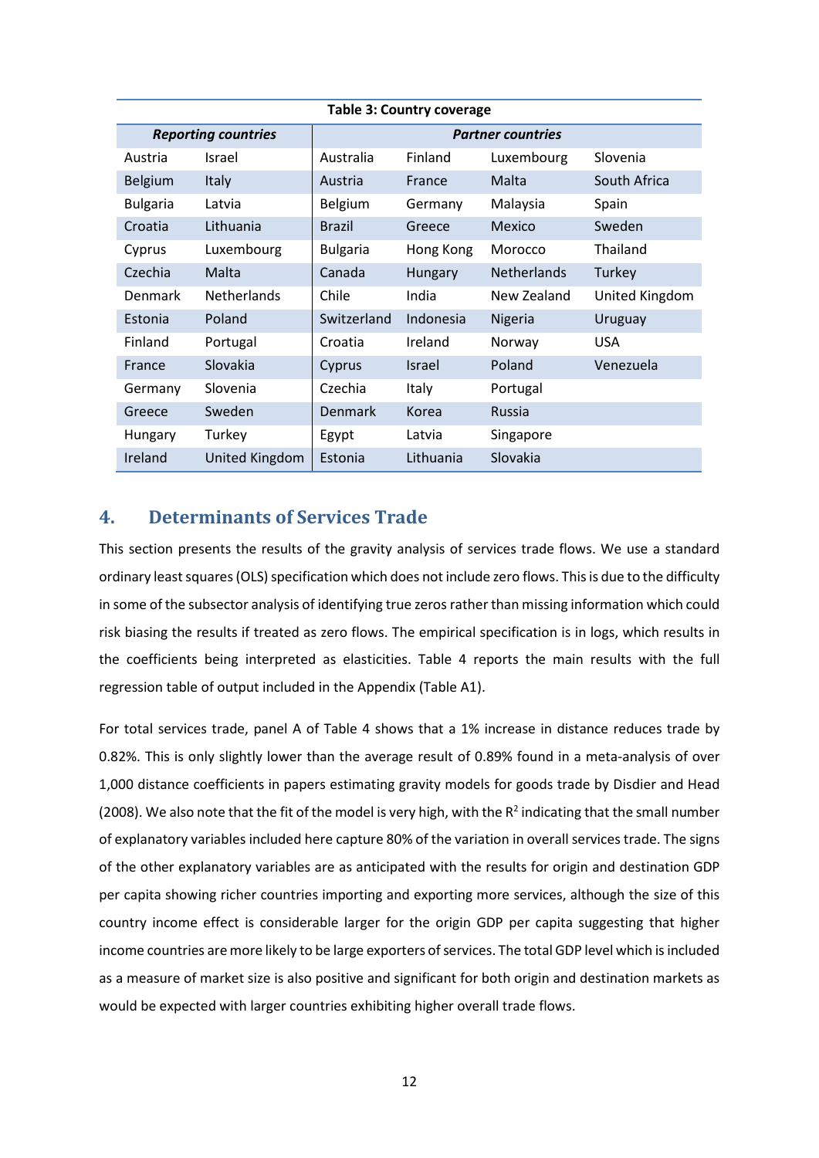| <b>Table 3: Country coverage</b> |                            |                 |                          |                    |                |
|----------------------------------|----------------------------|-----------------|--------------------------|--------------------|----------------|
|                                  | <b>Reporting countries</b> |                 | <b>Partner countries</b> |                    |                |
| Austria                          | Israel                     | Australia       | Finland                  | Luxembourg         | Slovenia       |
| <b>Belgium</b>                   | Italy                      | Austria         | France                   | Malta              | South Africa   |
| <b>Bulgaria</b>                  | Latvia                     | Belgium         | Germany                  | Malaysia           | Spain          |
| Croatia                          | Lithuania                  | <b>Brazil</b>   | Greece                   | Mexico             | Sweden         |
| Cyprus                           | Luxembourg                 | <b>Bulgaria</b> | Hong Kong                | Morocco            | Thailand       |
| Czechia                          | Malta                      | Canada          | Hungary                  | <b>Netherlands</b> | Turkey         |
| <b>Denmark</b>                   | <b>Netherlands</b>         | Chile           | India                    | New Zealand        | United Kingdom |
| Estonia                          | Poland                     | Switzerland     | Indonesia                | <b>Nigeria</b>     | Uruguay        |
| Finland                          | Portugal                   | Croatia         | Ireland                  | Norway             | <b>USA</b>     |
| France                           | Slovakia                   | Cyprus          | <b>Israel</b>            | Poland             | Venezuela      |
| Germany                          | Slovenia                   | Czechia         | Italy                    | Portugal           |                |
| Greece                           | Sweden                     | Denmark         | Korea                    | <b>Russia</b>      |                |
| Hungary                          | Turkey                     | Egypt           | Latvia                   | Singapore          |                |
| Ireland                          | United Kingdom             | Estonia         | Lithuania                | Slovakia           |                |

### **4. Determinants of Services Trade**

This section presents the results of the gravity analysis of services trade flows. We use a standard ordinary least squares (OLS) specification which does not include zero flows. This is due to the difficulty in some of the subsector analysis of identifying true zeros rather than missing information which could risk biasing the results if treated as zero flows. The empirical specification is in logs, which results in the coefficients being interpreted as elasticities. Table 4 reports the main results with the full regression table of output included in the Appendix (Table A1).

For total services trade, panel A of Table 4 shows that a 1% increase in distance reduces trade by 0.82%. This is only slightly lower than the average result of 0.89% found in a meta-analysis of over 1,000 distance coefficients in papers estimating gravity models for goods trade by Disdier and Head (2008). We also note that the fit of the model is very high, with the  $R^2$  indicating that the small number of explanatory variables included here capture 80% of the variation in overall services trade. The signs of the other explanatory variables are as anticipated with the results for origin and destination GDP per capita showing richer countries importing and exporting more services, although the size of this country income effect is considerable larger for the origin GDP per capita suggesting that higher income countries are more likely to be large exporters of services. The total GDP level which is included as a measure of market size is also positive and significant for both origin and destination markets as would be expected with larger countries exhibiting higher overall trade flows.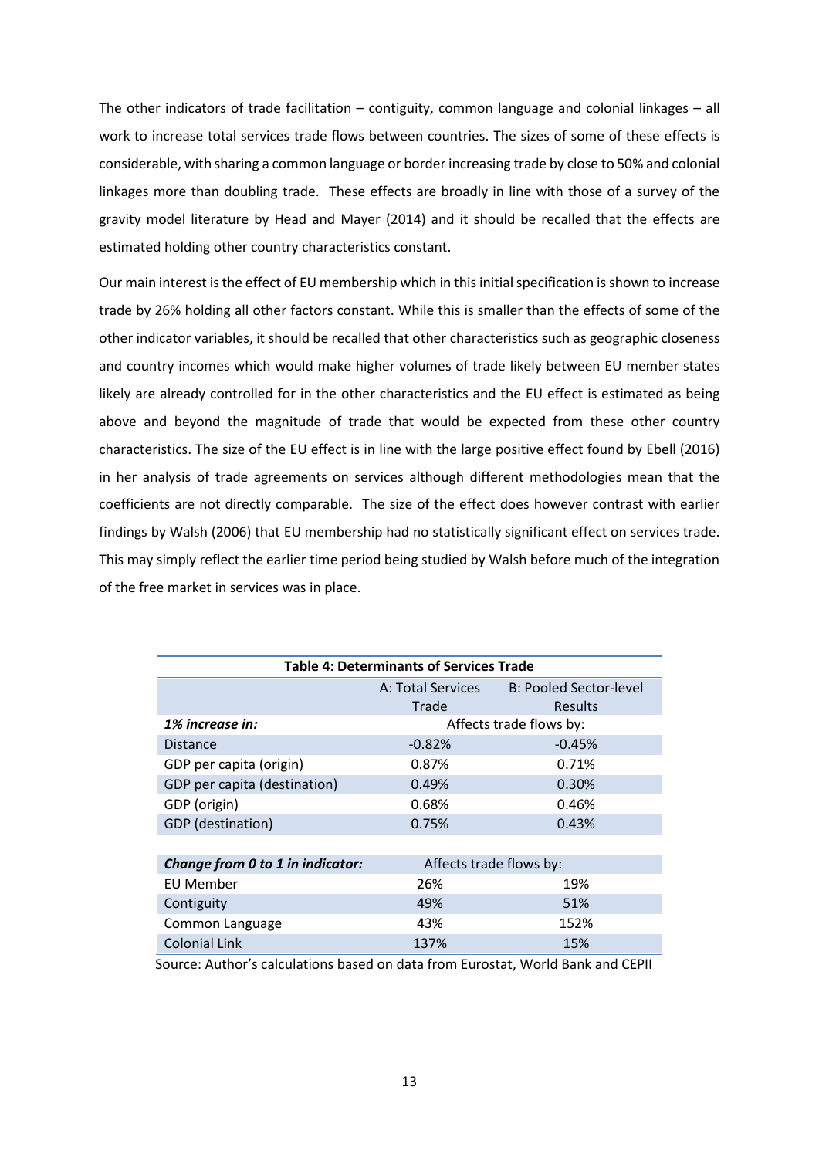The other indicators of trade facilitation – contiguity, common language and colonial linkages – all work to increase total services trade flows between countries. The sizes of some of these effects is considerable, with sharing a common language or border increasing trade by close to 50% and colonial linkages more than doubling trade. These effects are broadly in line with those of a survey of the gravity model literature by Head and Mayer (2014) and it should be recalled that the effects are estimated holding other country characteristics constant.

Our main interest is the effect of EU membership which in this initial specification is shown to increase trade by 26% holding all other factors constant. While this is smaller than the effects of some of the other indicator variables, it should be recalled that other characteristics such as geographic closeness and country incomes which would make higher volumes of trade likely between EU member states likely are already controlled for in the other characteristics and the EU effect is estimated as being above and beyond the magnitude of trade that would be expected from these other country characteristics. The size of the EU effect is in line with the large positive effect found by Ebell (2016) in her analysis of trade agreements on services although different methodologies mean that the coefficients are not directly comparable. The size of the effect does however contrast with earlier findings by Walsh (2006) that EU membership had no statistically significant effect on services trade. This may simply reflect the earlier time period being studied by Walsh before much of the integration of the free market in services was in place.

| <b>Table 4: Determinants of Services Trade</b> |                         |                        |  |  |  |  |
|------------------------------------------------|-------------------------|------------------------|--|--|--|--|
|                                                | A: Total Services       | B: Pooled Sector-level |  |  |  |  |
|                                                | Trade                   | <b>Results</b>         |  |  |  |  |
| 1% increase in:                                | Affects trade flows by: |                        |  |  |  |  |
| <b>Distance</b>                                | $-0.82%$                | $-0.45%$               |  |  |  |  |
| GDP per capita (origin)                        | 0.87%                   | 0.71%                  |  |  |  |  |
| GDP per capita (destination)                   | 0.49%                   | 0.30%                  |  |  |  |  |
| GDP (origin)                                   | 0.68%                   | 0.46%                  |  |  |  |  |
| GDP (destination)                              | 0.75%                   | 0.43%                  |  |  |  |  |
|                                                |                         |                        |  |  |  |  |
| Change from 0 to 1 in indicator:               | Affects trade flows by: |                        |  |  |  |  |
| <b>EU Member</b>                               | 26%                     | 19%                    |  |  |  |  |
| Contiguity                                     | 49%                     | 51%                    |  |  |  |  |
| Common Language                                | 43%                     | 152%                   |  |  |  |  |
| <b>Colonial Link</b>                           | 137%                    | 15%                    |  |  |  |  |

Source: Author's calculations based on data from Eurostat, World Bank and CEPII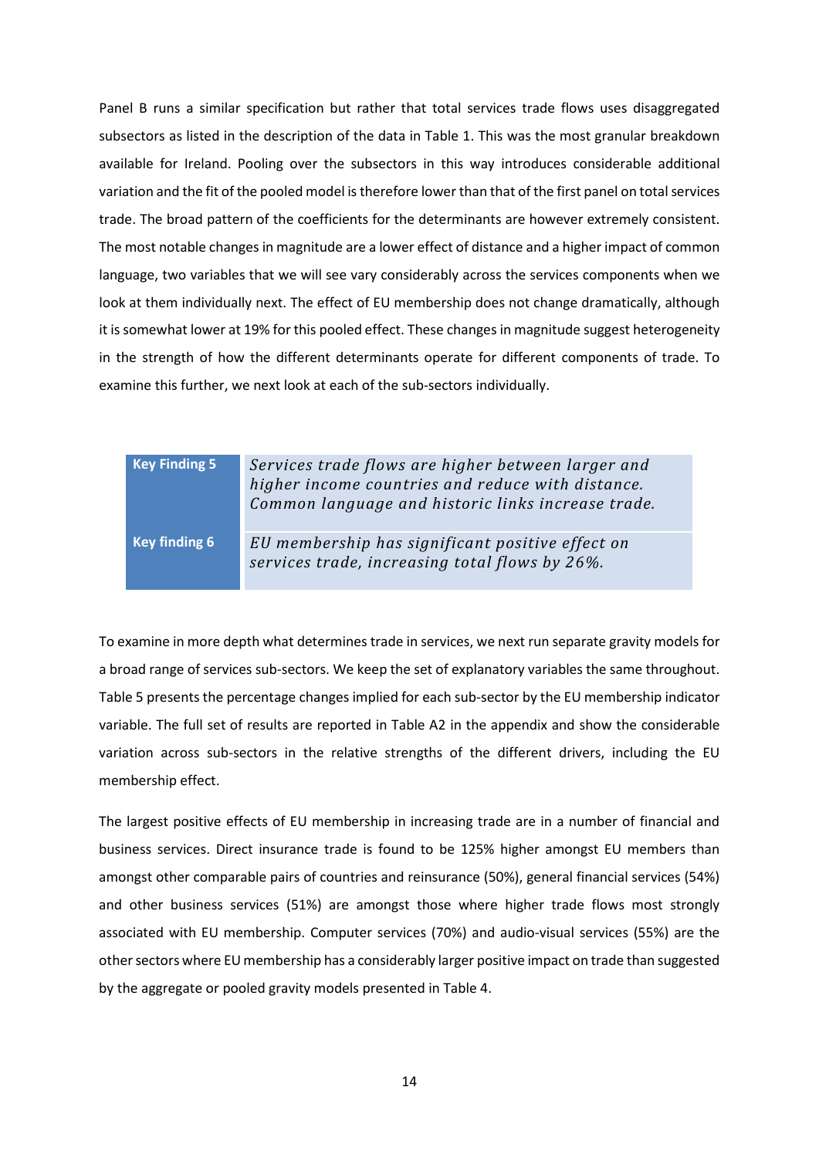Panel B runs a similar specification but rather that total services trade flows uses disaggregated subsectors as listed in the description of the data in Table 1. This was the most granular breakdown available for Ireland. Pooling over the subsectors in this way introduces considerable additional variation and the fit of the pooled model is therefore lower than that of the first panel on total services trade. The broad pattern of the coefficients for the determinants are however extremely consistent. The most notable changes in magnitude are a lower effect of distance and a higher impact of common language, two variables that we will see vary considerably across the services components when we look at them individually next. The effect of EU membership does not change dramatically, although it is somewhat lower at 19% for this pooled effect. These changes in magnitude suggest heterogeneity in the strength of how the different determinants operate for different components of trade. To examine this further, we next look at each of the sub-sectors individually.

## **Key Finding 5** *Services trade flows are higher between larger and higher income countries and reduce with distance. Common language and historic links increase trade.*  **Key finding 6** *EU membership has significant positive effect on*

*services trade, increasing total flows by 26%.*

To examine in more depth what determines trade in services, we next run separate gravity models for a broad range of services sub-sectors. We keep the set of explanatory variables the same throughout. Table 5 presents the percentage changes implied for each sub-sector by the EU membership indicator variable. The full set of results are reported in Table A2 in the appendix and show the considerable variation across sub-sectors in the relative strengths of the different drivers, including the EU membership effect.

The largest positive effects of EU membership in increasing trade are in a number of financial and business services. Direct insurance trade is found to be 125% higher amongst EU members than amongst other comparable pairs of countries and reinsurance (50%), general financial services (54%) and other business services (51%) are amongst those where higher trade flows most strongly associated with EU membership. Computer services (70%) and audio-visual services (55%) are the other sectors where EU membership has a considerably larger positive impact on trade than suggested by the aggregate or pooled gravity models presented in Table 4.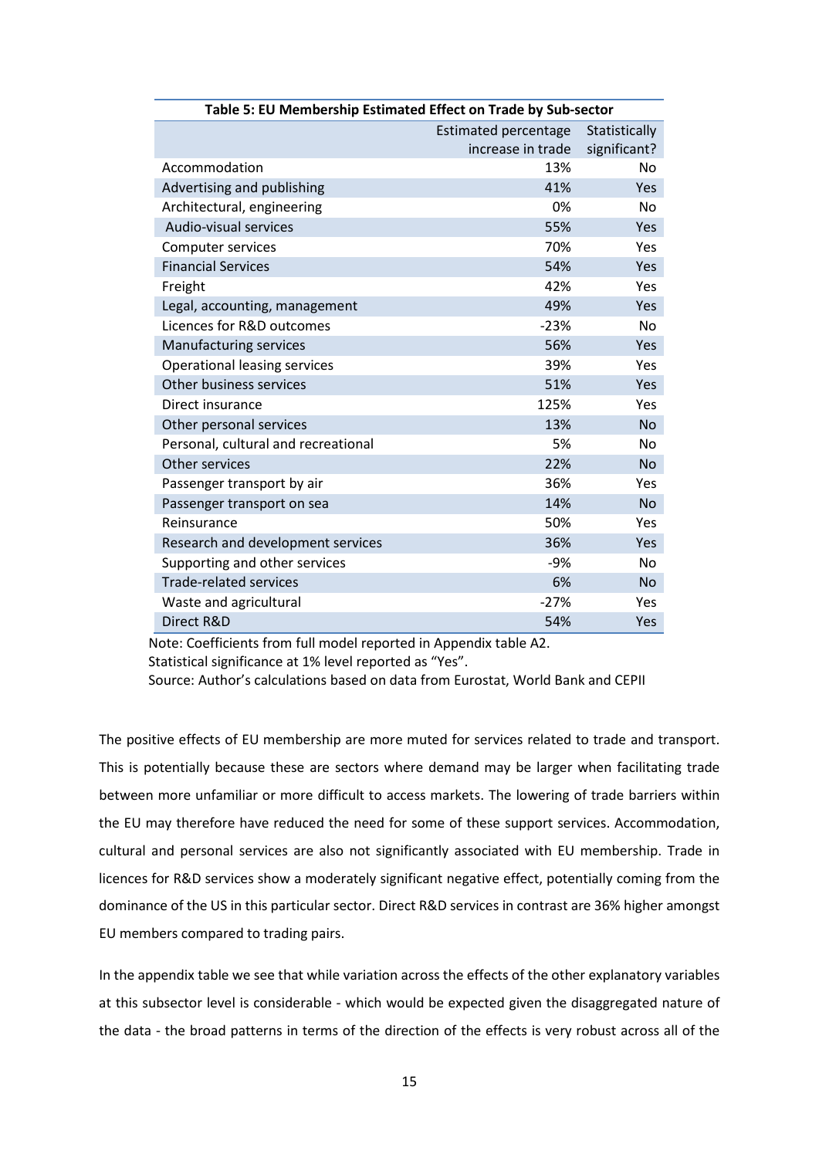| Table 5: EU Membership Estimated Effect on Trade by Sub-sector |                             |               |  |  |
|----------------------------------------------------------------|-----------------------------|---------------|--|--|
|                                                                | <b>Estimated percentage</b> | Statistically |  |  |
|                                                                | increase in trade           | significant?  |  |  |
| Accommodation                                                  | 13%                         | <b>No</b>     |  |  |
| Advertising and publishing                                     | 41%                         | Yes           |  |  |
| Architectural, engineering                                     | 0%                          | <b>No</b>     |  |  |
| Audio-visual services                                          | 55%                         | Yes           |  |  |
| <b>Computer services</b>                                       | 70%                         | Yes           |  |  |
| <b>Financial Services</b>                                      | 54%                         | Yes           |  |  |
| Freight                                                        | 42%                         | Yes           |  |  |
| Legal, accounting, management                                  | 49%                         | Yes           |  |  |
| Licences for R&D outcomes                                      | $-23%$                      | <b>No</b>     |  |  |
| Manufacturing services                                         | 56%                         | Yes           |  |  |
| Operational leasing services                                   | 39%                         | Yes           |  |  |
| Other business services                                        | 51%                         | Yes           |  |  |
| Direct insurance                                               | 125%                        | Yes           |  |  |
| Other personal services                                        | 13%                         | <b>No</b>     |  |  |
| Personal, cultural and recreational                            | 5%                          | No            |  |  |
| Other services                                                 | 22%                         | <b>No</b>     |  |  |
| Passenger transport by air                                     | 36%                         | Yes           |  |  |
| Passenger transport on sea                                     | 14%                         | <b>No</b>     |  |  |
| Reinsurance                                                    | 50%                         | Yes           |  |  |
| Research and development services                              | 36%                         | Yes           |  |  |
| Supporting and other services                                  | -9%                         | <b>No</b>     |  |  |
| <b>Trade-related services</b>                                  | 6%                          | <b>No</b>     |  |  |
| Waste and agricultural                                         | $-27%$                      | Yes           |  |  |
| Direct R&D                                                     | 54%                         | Yes           |  |  |

Note: Coefficients from full model reported in Appendix table A2.

Statistical significance at 1% level reported as "Yes".

Source: Author's calculations based on data from Eurostat, World Bank and CEPII

The positive effects of EU membership are more muted for services related to trade and transport. This is potentially because these are sectors where demand may be larger when facilitating trade between more unfamiliar or more difficult to access markets. The lowering of trade barriers within the EU may therefore have reduced the need for some of these support services. Accommodation, cultural and personal services are also not significantly associated with EU membership. Trade in licences for R&D services show a moderately significant negative effect, potentially coming from the dominance of the US in this particular sector. Direct R&D services in contrast are 36% higher amongst EU members compared to trading pairs.

In the appendix table we see that while variation across the effects of the other explanatory variables at this subsector level is considerable - which would be expected given the disaggregated nature of the data - the broad patterns in terms of the direction of the effects is very robust across all of the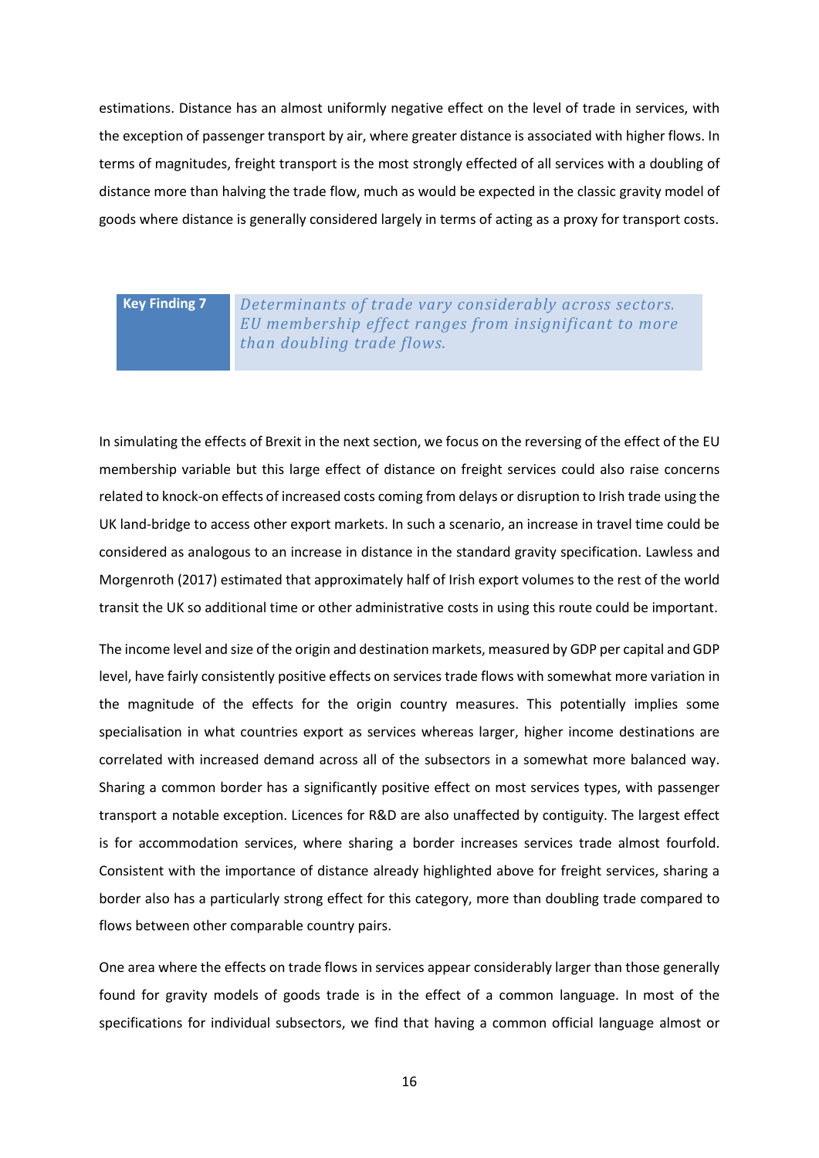estimations. Distance has an almost uniformly negative effect on the level of trade in services, with the exception of passenger transport by air, where greater distance is associated with higher flows. In terms of magnitudes, freight transport is the most strongly effected of all services with a doubling of distance more than halving the trade flow, much as would be expected in the classic gravity model of goods where distance is generally considered largely in terms of acting as a proxy for transport costs.

**Key Finding 7** *Determinants of trade vary considerably across sectors. EU membership effect ranges from insignificant to more than doubling trade flows.*

In simulating the effects of Brexit in the next section, we focus on the reversing of the effect of the EU membership variable but this large effect of distance on freight services could also raise concerns related to knock-on effects of increased costs coming from delays or disruption to Irish trade using the UK land-bridge to access other export markets. In such a scenario, an increase in travel time could be considered as analogous to an increase in distance in the standard gravity specification. Lawless and Morgenroth (2017) estimated that approximately half of Irish export volumes to the rest of the world transit the UK so additional time or other administrative costs in using this route could be important.

The income level and size of the origin and destination markets, measured by GDP per capital and GDP level, have fairly consistently positive effects on services trade flows with somewhat more variation in the magnitude of the effects for the origin country measures. This potentially implies some specialisation in what countries export as services whereas larger, higher income destinations are correlated with increased demand across all of the subsectors in a somewhat more balanced way. Sharing a common border has a significantly positive effect on most services types, with passenger transport a notable exception. Licences for R&D are also unaffected by contiguity. The largest effect is for accommodation services, where sharing a border increases services trade almost fourfold. Consistent with the importance of distance already highlighted above for freight services, sharing a border also has a particularly strong effect for this category, more than doubling trade compared to flows between other comparable country pairs.

One area where the effects on trade flows in services appear considerably larger than those generally found for gravity models of goods trade is in the effect of a common language. In most of the specifications for individual subsectors, we find that having a common official language almost or

16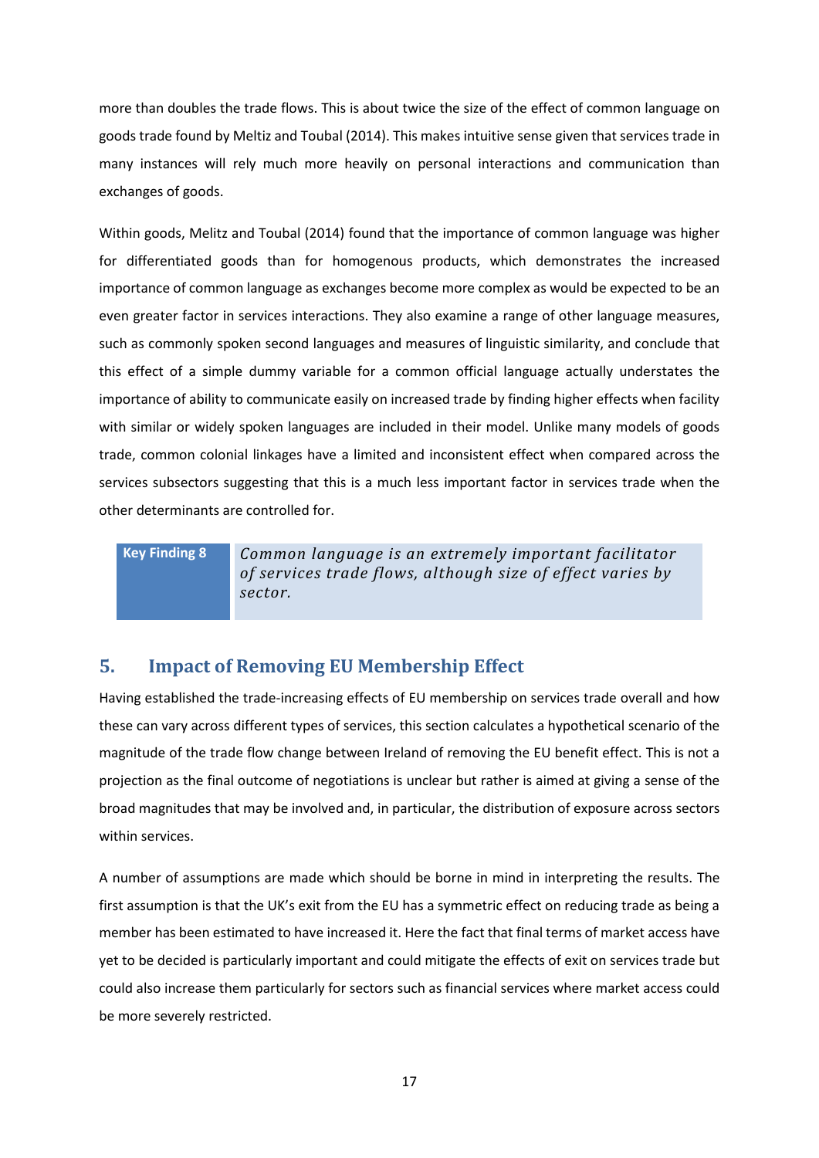more than doubles the trade flows. This is about twice the size of the effect of common language on goods trade found by Meltiz and Toubal (2014). This makes intuitive sense given that services trade in many instances will rely much more heavily on personal interactions and communication than exchanges of goods.

Within goods, Melitz and Toubal (2014) found that the importance of common language was higher for differentiated goods than for homogenous products, which demonstrates the increased importance of common language as exchanges become more complex as would be expected to be an even greater factor in services interactions. They also examine a range of other language measures, such as commonly spoken second languages and measures of linguistic similarity, and conclude that this effect of a simple dummy variable for a common official language actually understates the importance of ability to communicate easily on increased trade by finding higher effects when facility with similar or widely spoken languages are included in their model. Unlike many models of goods trade, common colonial linkages have a limited and inconsistent effect when compared across the services subsectors suggesting that this is a much less important factor in services trade when the other determinants are controlled for.

**Key Finding 8** *Common language is an extremely important facilitator of services trade flows, although size of effect varies by sector.* 

### **5. Impact of Removing EU Membership Effect**

Having established the trade-increasing effects of EU membership on services trade overall and how these can vary across different types of services, this section calculates a hypothetical scenario of the magnitude of the trade flow change between Ireland of removing the EU benefit effect. This is not a projection as the final outcome of negotiations is unclear but rather is aimed at giving a sense of the broad magnitudes that may be involved and, in particular, the distribution of exposure across sectors within services.

A number of assumptions are made which should be borne in mind in interpreting the results. The first assumption is that the UK's exit from the EU has a symmetric effect on reducing trade as being a member has been estimated to have increased it. Here the fact that final terms of market access have yet to be decided is particularly important and could mitigate the effects of exit on services trade but could also increase them particularly for sectors such as financial services where market access could be more severely restricted.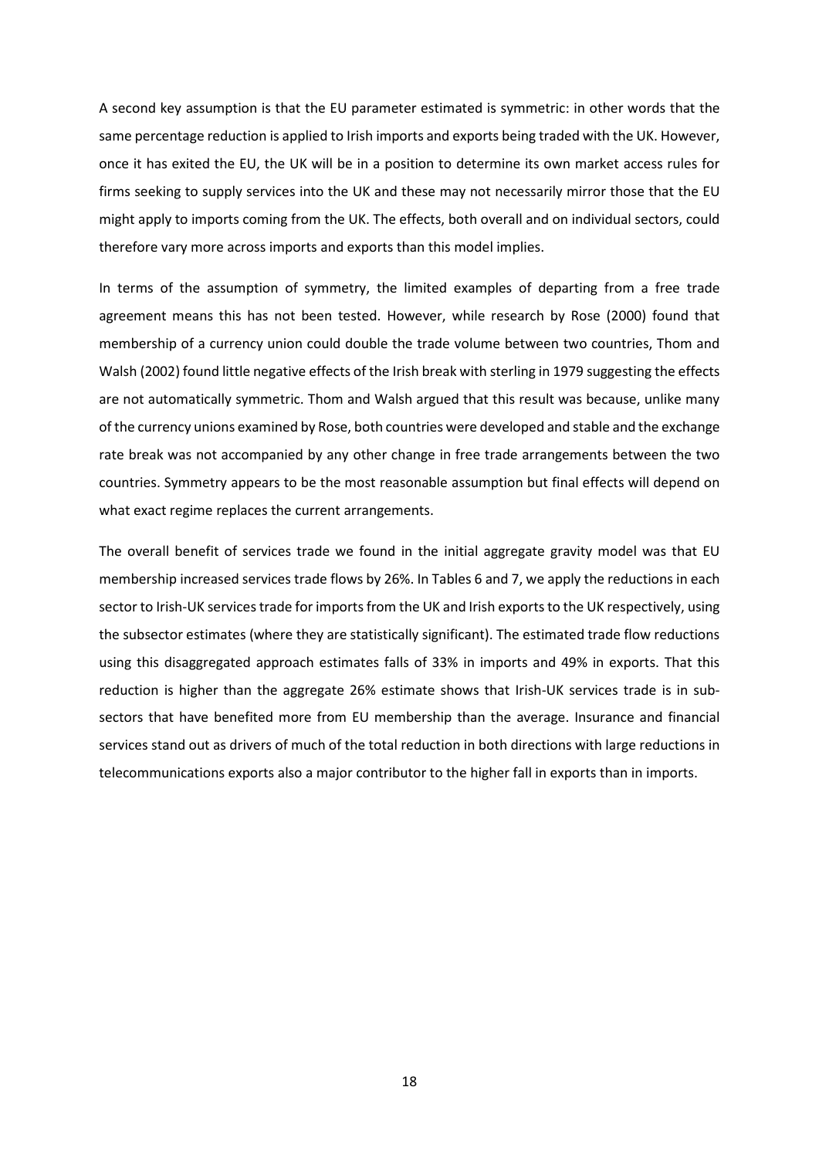A second key assumption is that the EU parameter estimated is symmetric: in other words that the same percentage reduction is applied to Irish imports and exports being traded with the UK. However, once it has exited the EU, the UK will be in a position to determine its own market access rules for firms seeking to supply services into the UK and these may not necessarily mirror those that the EU might apply to imports coming from the UK. The effects, both overall and on individual sectors, could therefore vary more across imports and exports than this model implies.

In terms of the assumption of symmetry, the limited examples of departing from a free trade agreement means this has not been tested. However, while research by Rose (2000) found that membership of a currency union could double the trade volume between two countries, Thom and Walsh (2002) found little negative effects of the Irish break with sterling in 1979 suggesting the effects are not automatically symmetric. Thom and Walsh argued that this result was because, unlike many of the currency unions examined by Rose, both countries were developed and stable and the exchange rate break was not accompanied by any other change in free trade arrangements between the two countries. Symmetry appears to be the most reasonable assumption but final effects will depend on what exact regime replaces the current arrangements.

The overall benefit of services trade we found in the initial aggregate gravity model was that EU membership increased services trade flows by 26%. In Tables 6 and 7, we apply the reductions in each sector to Irish-UK services trade for imports from the UK and Irish exports to the UK respectively, using the subsector estimates (where they are statistically significant). The estimated trade flow reductions using this disaggregated approach estimates falls of 33% in imports and 49% in exports. That this reduction is higher than the aggregate 26% estimate shows that Irish-UK services trade is in subsectors that have benefited more from EU membership than the average. Insurance and financial services stand out as drivers of much of the total reduction in both directions with large reductions in telecommunications exports also a major contributor to the higher fall in exports than in imports.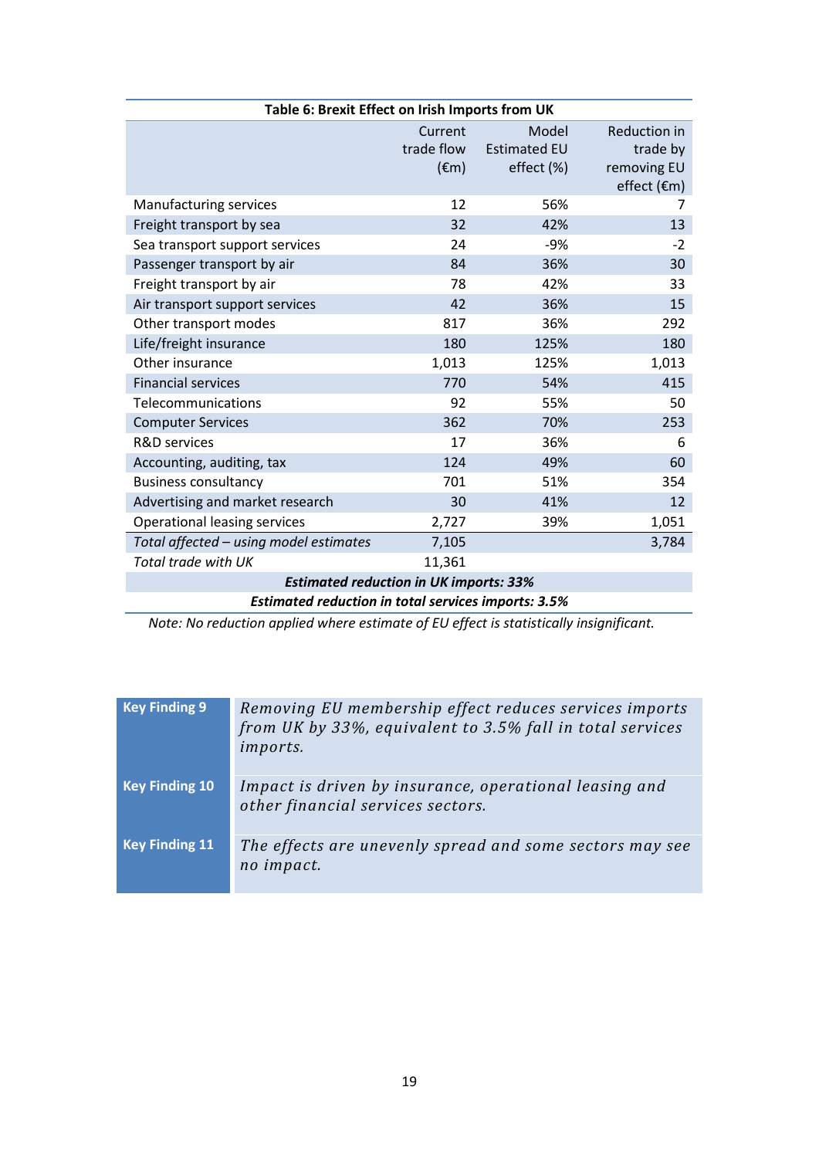| Table 6: Brexit Effect on Irish Imports from UK            |                |                     |                     |  |  |
|------------------------------------------------------------|----------------|---------------------|---------------------|--|--|
|                                                            | Current        | Model               | <b>Reduction in</b> |  |  |
|                                                            | trade flow     | <b>Estimated EU</b> | trade by            |  |  |
|                                                            | $(\epsilon m)$ | effect (%)          | removing EU         |  |  |
|                                                            |                |                     | effect (€m)         |  |  |
| Manufacturing services                                     | 12             | 56%                 | 7                   |  |  |
| Freight transport by sea                                   | 32             | 42%                 | 13                  |  |  |
| Sea transport support services                             | 24             | -9%                 | $-2$                |  |  |
| Passenger transport by air                                 | 84             | 36%                 | 30                  |  |  |
| Freight transport by air                                   | 78             | 42%                 | 33                  |  |  |
| Air transport support services                             | 42             | 36%                 | 15                  |  |  |
| Other transport modes                                      | 817            | 36%                 | 292                 |  |  |
| Life/freight insurance                                     | 180            | 125%                | 180                 |  |  |
| Other insurance                                            | 1,013          | 125%                | 1,013               |  |  |
| <b>Financial services</b>                                  | 770            | 54%                 | 415                 |  |  |
| Telecommunications                                         | 92             | 55%                 | 50                  |  |  |
| <b>Computer Services</b>                                   | 362            | 70%                 | 253                 |  |  |
| <b>R&amp;D</b> services                                    | 17             | 36%                 | 6                   |  |  |
| Accounting, auditing, tax                                  | 124            | 49%                 | 60                  |  |  |
| <b>Business consultancy</b>                                | 701            | 51%                 | 354                 |  |  |
| Advertising and market research                            | 30             | 41%                 | 12                  |  |  |
| Operational leasing services                               | 2,727          | 39%                 | 1,051               |  |  |
| Total affected - using model estimates                     | 7,105          |                     | 3,784               |  |  |
| Total trade with UK                                        | 11,361         |                     |                     |  |  |
| <b>Estimated reduction in UK imports: 33%</b>              |                |                     |                     |  |  |
| <b>Estimated reduction in total services imports: 3.5%</b> |                |                     |                     |  |  |

*Note: No reduction applied where estimate of EU effect is statistically insignificant.*

| <b>Key Finding 9</b>  | Removing EU membership effect reduces services imports<br>from UK by 33%, equivalent to 3.5% fall in total services<br>imports. |
|-----------------------|---------------------------------------------------------------------------------------------------------------------------------|
| <b>Key Finding 10</b> | Impact is driven by insurance, operational leasing and<br>other financial services sectors.                                     |
| <b>Key Finding 11</b> | The effects are unevenly spread and some sectors may see<br>no impact.                                                          |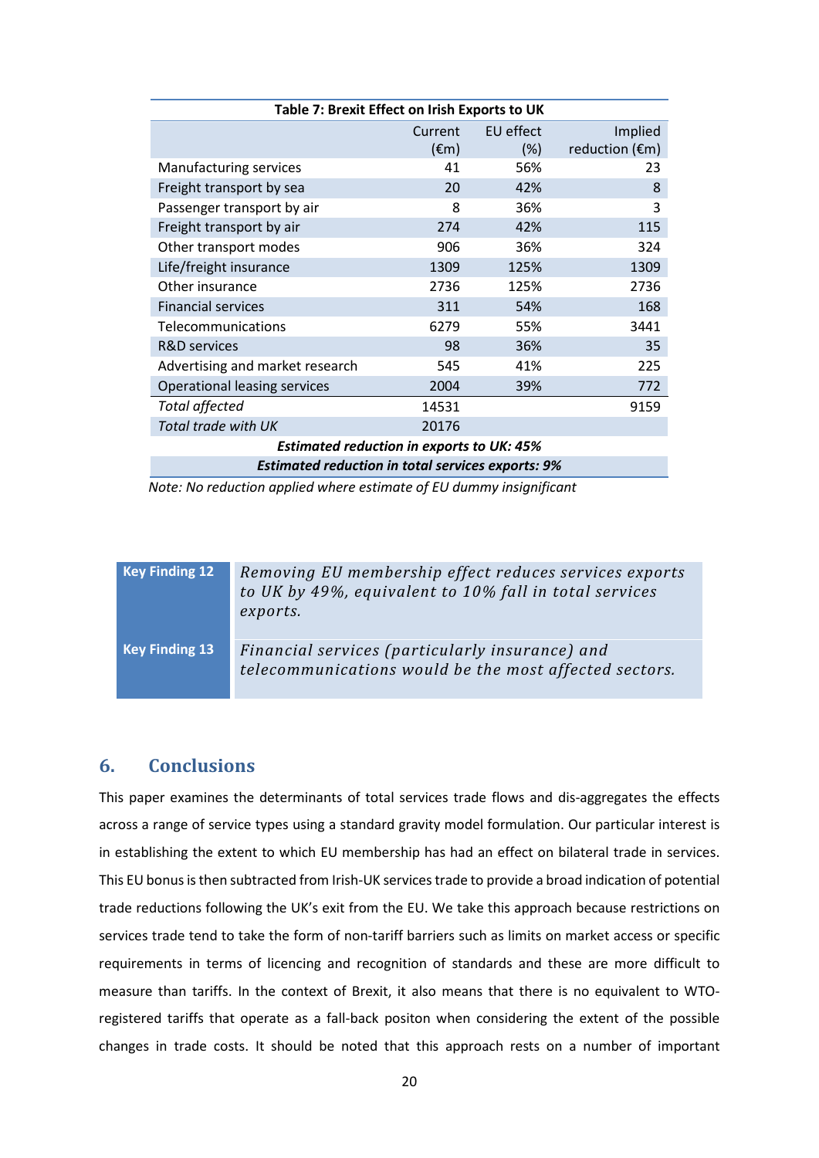| Table 7: Brexit Effect on Irish Exports to UK            |                |           |                          |  |  |
|----------------------------------------------------------|----------------|-----------|--------------------------|--|--|
|                                                          | Current        | EU effect | Implied                  |  |  |
|                                                          | $(\epsilon m)$ | $(\%)$    | reduction $(\epsilon m)$ |  |  |
| Manufacturing services                                   | 41             | 56%       | 23                       |  |  |
| Freight transport by sea                                 | 20             | 42%       | 8                        |  |  |
| Passenger transport by air                               | 8              | 36%       | 3                        |  |  |
| Freight transport by air                                 | 274            | 42%       | 115                      |  |  |
| Other transport modes                                    | 906            | 36%       | 324                      |  |  |
| Life/freight insurance                                   | 1309           | 125%      | 1309                     |  |  |
| Other insurance                                          | 2736           | 125%      | 2736                     |  |  |
| <b>Financial services</b>                                | 311            | 54%       | 168                      |  |  |
| Telecommunications                                       | 6279           | 55%       | 3441                     |  |  |
| <b>R&amp;D</b> services                                  | 98             | 36%       | 35                       |  |  |
| Advertising and market research                          | 545            | 41%       | 225                      |  |  |
| <b>Operational leasing services</b>                      | 2004           | 39%       | 772                      |  |  |
| <b>Total affected</b>                                    | 14531          |           | 9159                     |  |  |
| Total trade with UK                                      | 20176          |           |                          |  |  |
| <b>Estimated reduction in exports to UK: 45%</b>         |                |           |                          |  |  |
| <b>Estimated reduction in total services exports: 9%</b> |                |           |                          |  |  |

*Note: No reduction applied where estimate of EU dummy insignificant*

| <b>Key Finding 12</b> | Removing EU membership effect reduces services exports<br>to UK by 49%, equivalent to 10% fall in total services<br>exports. |
|-----------------------|------------------------------------------------------------------------------------------------------------------------------|
| <b>Key Finding 13</b> | Financial services (particularly insurance) and<br>telecommunications would be the most affected sectors.                    |

#### **6. Conclusions**

This paper examines the determinants of total services trade flows and dis-aggregates the effects across a range of service types using a standard gravity model formulation. Our particular interest is in establishing the extent to which EU membership has had an effect on bilateral trade in services. This EU bonus is then subtracted from Irish-UK services trade to provide a broad indication of potential trade reductions following the UK's exit from the EU. We take this approach because restrictions on services trade tend to take the form of non-tariff barriers such as limits on market access or specific requirements in terms of licencing and recognition of standards and these are more difficult to measure than tariffs. In the context of Brexit, it also means that there is no equivalent to WTOregistered tariffs that operate as a fall-back positon when considering the extent of the possible changes in trade costs. It should be noted that this approach rests on a number of important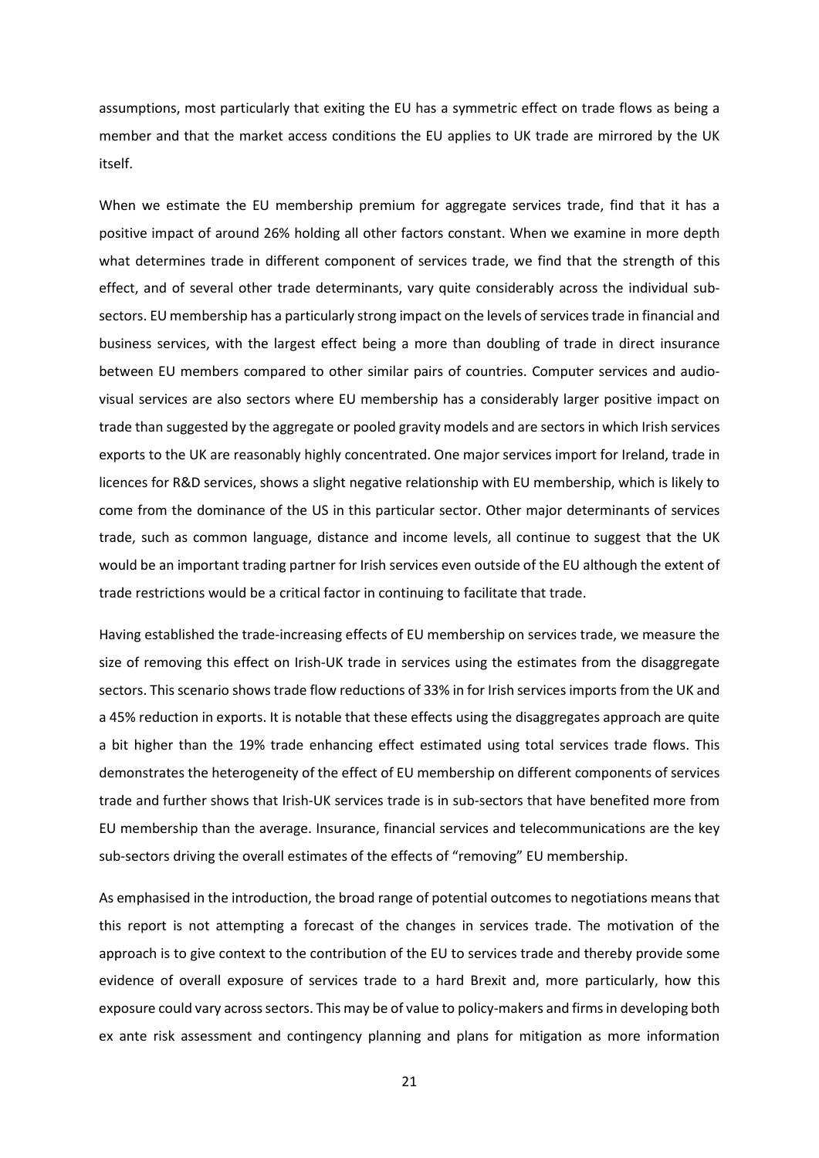assumptions, most particularly that exiting the EU has a symmetric effect on trade flows as being a member and that the market access conditions the EU applies to UK trade are mirrored by the UK itself.

When we estimate the EU membership premium for aggregate services trade, find that it has a positive impact of around 26% holding all other factors constant. When we examine in more depth what determines trade in different component of services trade, we find that the strength of this effect, and of several other trade determinants, vary quite considerably across the individual subsectors. EU membership has a particularly strong impact on the levels of services trade in financial and business services, with the largest effect being a more than doubling of trade in direct insurance between EU members compared to other similar pairs of countries. Computer services and audiovisual services are also sectors where EU membership has a considerably larger positive impact on trade than suggested by the aggregate or pooled gravity models and are sectors in which Irish services exports to the UK are reasonably highly concentrated. One major services import for Ireland, trade in licences for R&D services, shows a slight negative relationship with EU membership, which is likely to come from the dominance of the US in this particular sector. Other major determinants of services trade, such as common language, distance and income levels, all continue to suggest that the UK would be an important trading partner for Irish services even outside of the EU although the extent of trade restrictions would be a critical factor in continuing to facilitate that trade.

Having established the trade-increasing effects of EU membership on services trade, we measure the size of removing this effect on Irish-UK trade in services using the estimates from the disaggregate sectors. This scenario shows trade flow reductions of 33% in for Irish services imports from the UK and a 45% reduction in exports. It is notable that these effects using the disaggregates approach are quite a bit higher than the 19% trade enhancing effect estimated using total services trade flows. This demonstrates the heterogeneity of the effect of EU membership on different components of services trade and further shows that Irish-UK services trade is in sub-sectors that have benefited more from EU membership than the average. Insurance, financial services and telecommunications are the key sub-sectors driving the overall estimates of the effects of "removing" EU membership.

As emphasised in the introduction, the broad range of potential outcomes to negotiations means that this report is not attempting a forecast of the changes in services trade. The motivation of the approach is to give context to the contribution of the EU to services trade and thereby provide some evidence of overall exposure of services trade to a hard Brexit and, more particularly, how this exposure could vary across sectors. This may be of value to policy-makers and firmsin developing both ex ante risk assessment and contingency planning and plans for mitigation as more information

21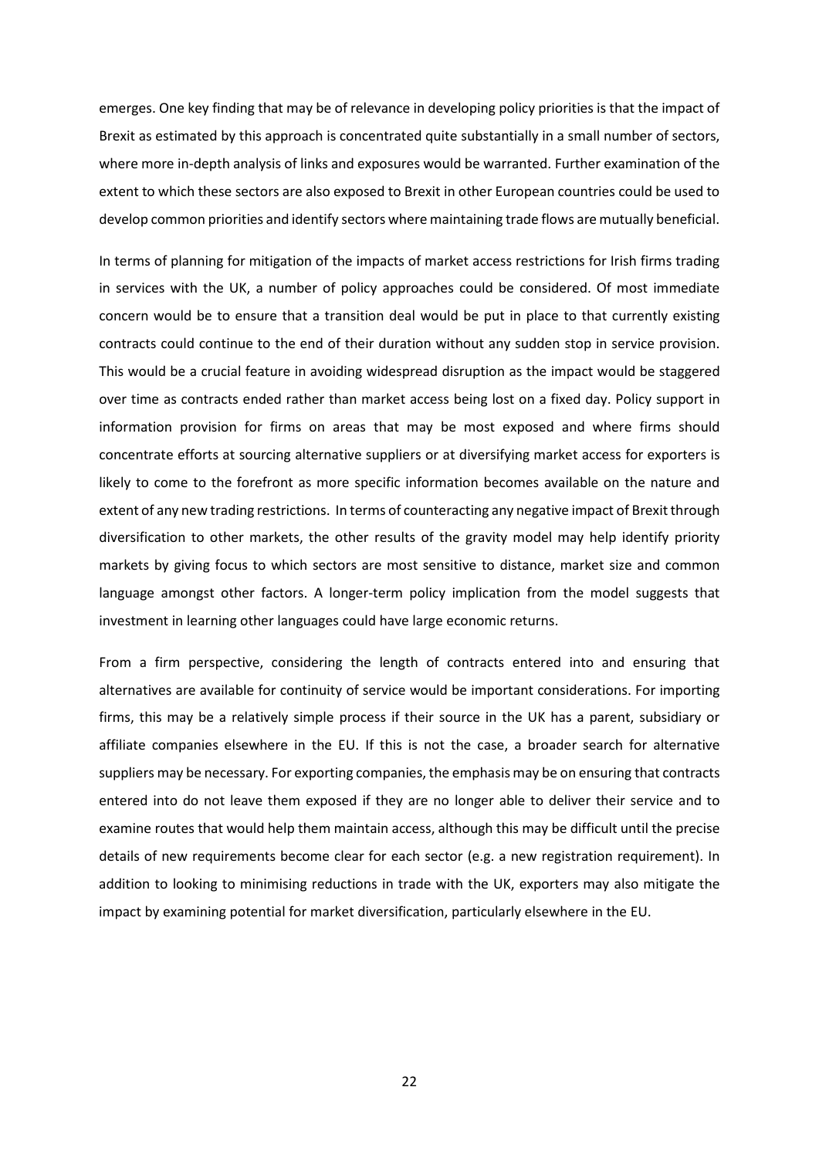emerges. One key finding that may be of relevance in developing policy priorities is that the impact of Brexit as estimated by this approach is concentrated quite substantially in a small number of sectors, where more in-depth analysis of links and exposures would be warranted. Further examination of the extent to which these sectors are also exposed to Brexit in other European countries could be used to develop common priorities and identify sectors where maintaining trade flows are mutually beneficial.

In terms of planning for mitigation of the impacts of market access restrictions for Irish firms trading in services with the UK, a number of policy approaches could be considered. Of most immediate concern would be to ensure that a transition deal would be put in place to that currently existing contracts could continue to the end of their duration without any sudden stop in service provision. This would be a crucial feature in avoiding widespread disruption as the impact would be staggered over time as contracts ended rather than market access being lost on a fixed day. Policy support in information provision for firms on areas that may be most exposed and where firms should concentrate efforts at sourcing alternative suppliers or at diversifying market access for exporters is likely to come to the forefront as more specific information becomes available on the nature and extent of any new trading restrictions. In terms of counteracting any negative impact of Brexit through diversification to other markets, the other results of the gravity model may help identify priority markets by giving focus to which sectors are most sensitive to distance, market size and common language amongst other factors. A longer-term policy implication from the model suggests that investment in learning other languages could have large economic returns.

From a firm perspective, considering the length of contracts entered into and ensuring that alternatives are available for continuity of service would be important considerations. For importing firms, this may be a relatively simple process if their source in the UK has a parent, subsidiary or affiliate companies elsewhere in the EU. If this is not the case, a broader search for alternative suppliers may be necessary. For exporting companies, the emphasis may be on ensuring that contracts entered into do not leave them exposed if they are no longer able to deliver their service and to examine routes that would help them maintain access, although this may be difficult until the precise details of new requirements become clear for each sector (e.g. a new registration requirement). In addition to looking to minimising reductions in trade with the UK, exporters may also mitigate the impact by examining potential for market diversification, particularly elsewhere in the EU.

22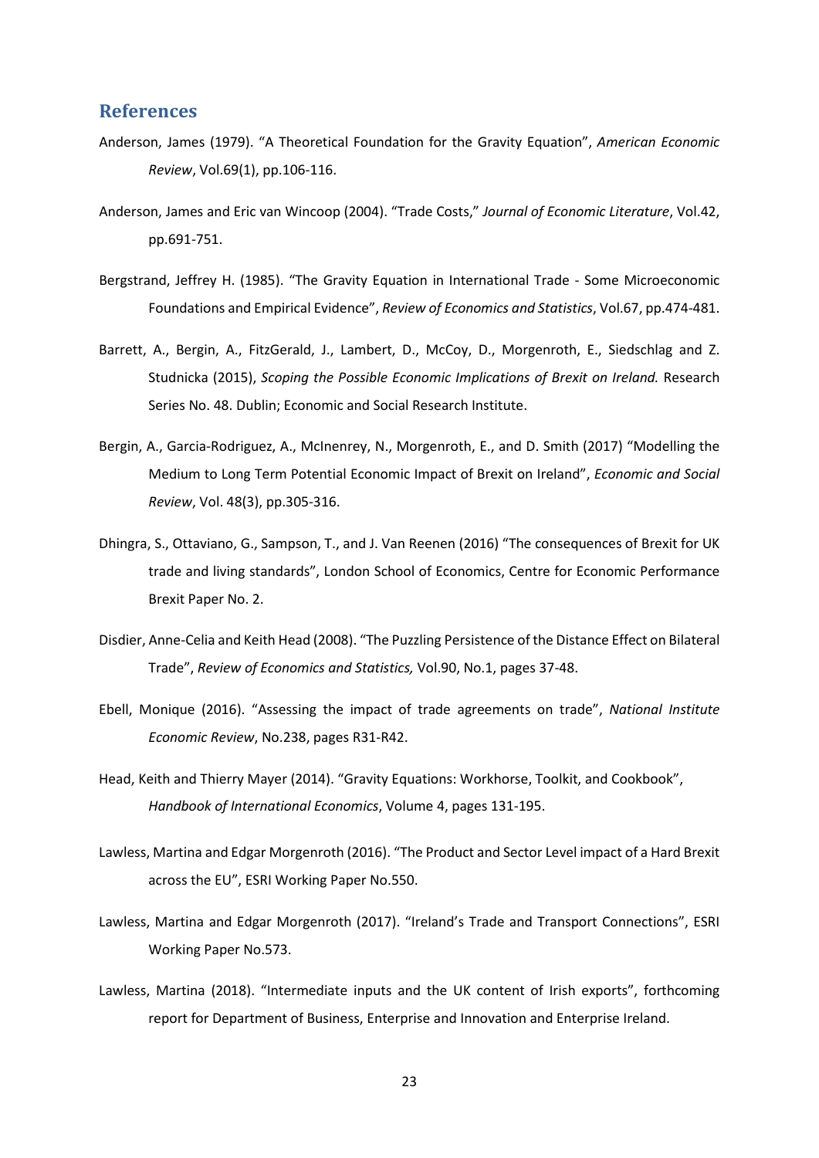#### **References**

- Anderson, James (1979). "A Theoretical Foundation for the Gravity Equation", *American Economic Review*, Vol.69(1), pp.106-116.
- Anderson, James and Eric van Wincoop (2004). "Trade Costs," *Journal of Economic Literature*, Vol.42, pp.691-751.
- Bergstrand, Jeffrey H. (1985). "The Gravity Equation in International Trade Some Microeconomic Foundations and Empirical Evidence", *Review of Economics and Statistics*, Vol.67, pp.474-481.
- Barrett, A., Bergin, A., FitzGerald, J., Lambert, D., McCoy, D., Morgenroth, E., Siedschlag and Z. Studnicka (2015), *Scoping the Possible Economic Implications of Brexit on Ireland.* Research Series No. 48. Dublin; Economic and Social Research Institute.
- Bergin, A., Garcia-Rodriguez, A., McInenrey, N., Morgenroth, E., and D. Smith (2017) "Modelling the Medium to Long Term Potential Economic Impact of Brexit on Ireland", *Economic and Social Review*, Vol. 48(3), pp.305-316.
- Dhingra, S., Ottaviano, G., Sampson, T., and J. Van Reenen (2016) "The consequences of Brexit for UK trade and living standards", London School of Economics, Centre for Economic Performance Brexit Paper No. 2.
- Disdier, Anne-Celia and Keith Head (2008). "The Puzzling Persistence of the Distance Effect on Bilateral Trade", *Review of Economics and Statistics,* Vol.90, No.1, pages 37-48.
- Ebell, Monique (2016). "Assessing the impact of trade agreements on trade", *National Institute Economic Review*, No.238, pages R31-R42.
- Head, Keith and Thierry Mayer (2014). "Gravity Equations: Workhorse, Toolkit, and Cookbook", *Handbook of International Economics*, Volume 4, pages 131-195.
- Lawless, Martina and Edgar Morgenroth (2016). "The Product and Sector Level impact of a Hard Brexit across the EU", ESRI Working Paper No.550.
- Lawless, Martina and Edgar Morgenroth (2017). "Ireland's Trade and Transport Connections", ESRI Working Paper No.573.
- Lawless, Martina (2018). "Intermediate inputs and the UK content of Irish exports", forthcoming report for Department of Business, Enterprise and Innovation and Enterprise Ireland.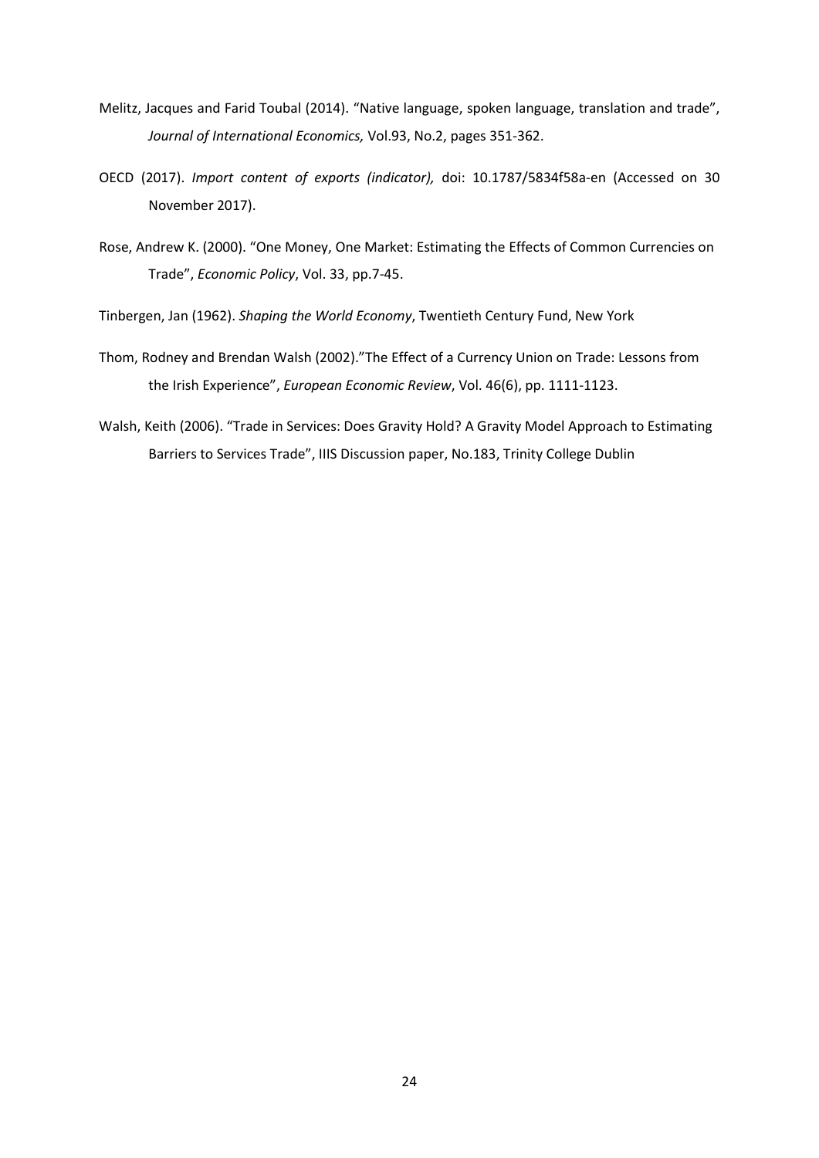- Melitz, Jacques and Farid Toubal (2014). "Native language, spoken language, translation and trade", *Journal of International Economics,* Vol.93, No.2, pages 351-362.
- OECD (2017). *Import content of exports (indicator),* doi: 10.1787/5834f58a-en (Accessed on 30 November 2017).
- Rose, Andrew K. (2000). "One Money, One Market: Estimating the Effects of Common Currencies on Trade", *Economic Policy*, Vol. 33, pp.7-45.

Tinbergen, Jan (1962). *Shaping the World Economy*, Twentieth Century Fund, New York

- Thom, Rodney and Brendan Walsh (2002)."The Effect of a Currency Union on Trade: Lessons from the Irish Experience", *European Economic Review*, Vol. 46(6), pp. 1111-1123.
- Walsh, Keith (2006). "Trade in Services: Does Gravity Hold? A Gravity Model Approach to Estimating Barriers to Services Trade", IIIS Discussion paper, No.183, Trinity College Dublin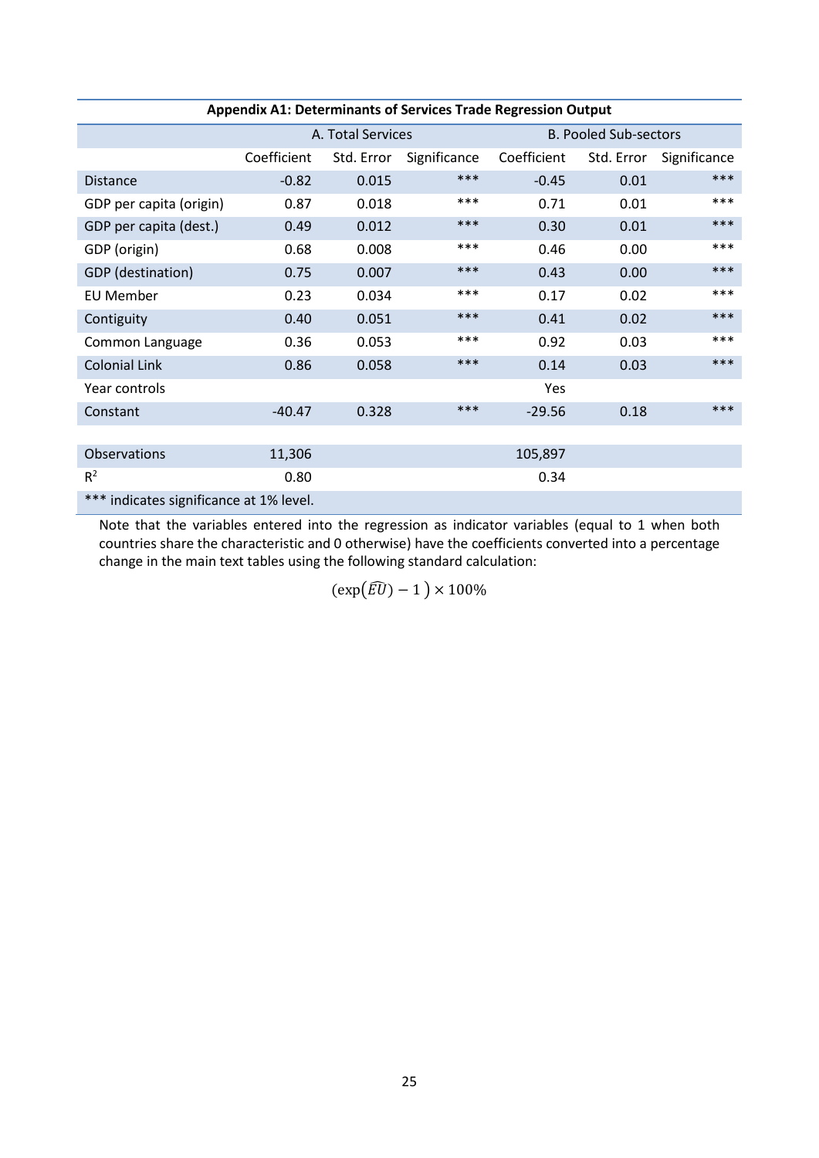| <b>Appendix A1: Determinants of Services Trade Regression Output</b> |                   |            |              |                              |            |              |  |
|----------------------------------------------------------------------|-------------------|------------|--------------|------------------------------|------------|--------------|--|
|                                                                      | A. Total Services |            |              | <b>B. Pooled Sub-sectors</b> |            |              |  |
|                                                                      | Coefficient       | Std. Error | Significance | Coefficient                  | Std. Error | Significance |  |
| <b>Distance</b>                                                      | $-0.82$           | 0.015      | ***          | $-0.45$                      | 0.01       | ***          |  |
| GDP per capita (origin)                                              | 0.87              | 0.018      | ***          | 0.71                         | 0.01       | ***          |  |
| GDP per capita (dest.)                                               | 0.49              | 0.012      | ***          | 0.30                         | 0.01       | ***          |  |
| GDP (origin)                                                         | 0.68              | 0.008      | ***          | 0.46                         | 0.00       | ***          |  |
| GDP (destination)                                                    | 0.75              | 0.007      | ***          | 0.43                         | 0.00       | ***          |  |
| <b>EU Member</b>                                                     | 0.23              | 0.034      | ***          | 0.17                         | 0.02       | ***          |  |
| Contiguity                                                           | 0.40              | 0.051      | ***          | 0.41                         | 0.02       | ***          |  |
| Common Language                                                      | 0.36              | 0.053      | ***          | 0.92                         | 0.03       | ***          |  |
| <b>Colonial Link</b>                                                 | 0.86              | 0.058      | ***          | 0.14                         | 0.03       | ***          |  |
| Year controls                                                        |                   |            |              | Yes                          |            |              |  |
| Constant                                                             | $-40.47$          | 0.328      | ***          | $-29.56$                     | 0.18       | ***          |  |
|                                                                      |                   |            |              |                              |            |              |  |
| Observations                                                         | 11,306            |            |              | 105,897                      |            |              |  |
| R <sup>2</sup>                                                       | 0.80              |            |              | 0.34                         |            |              |  |
| *** indicates significance at 1% level.                              |                   |            |              |                              |            |              |  |

Note that the variables entered into the regression as indicator variables (equal to 1 when both countries share the characteristic and 0 otherwise) have the coefficients converted into a percentage change in the main text tables using the following standard calculation:

 $(\exp(\widehat{EU}) - 1) \times 100\%$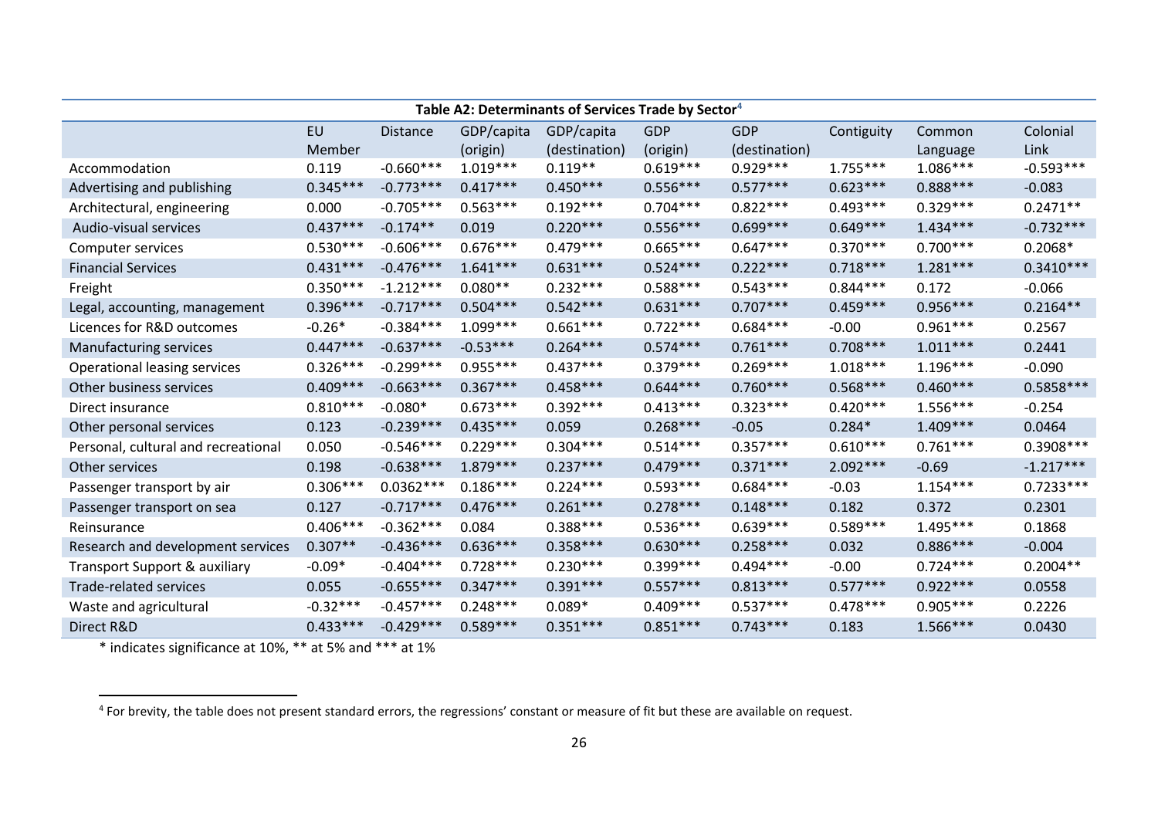<span id="page-25-0"></span>

| Table A2: Determinants of Services Trade by Sector <sup>4</sup> |            |                 |            |               |            |               |            |            |             |
|-----------------------------------------------------------------|------------|-----------------|------------|---------------|------------|---------------|------------|------------|-------------|
|                                                                 | EU         | <b>Distance</b> | GDP/capita | GDP/capita    | <b>GDP</b> | <b>GDP</b>    | Contiguity | Common     | Colonial    |
|                                                                 | Member     |                 | (origin)   | (destination) | (origin)   | (destination) |            | Language   | Link        |
| Accommodation                                                   | 0.119      | $-0.660***$     | $1.019***$ | $0.119**$     | $0.619***$ | $0.929***$    | $1.755***$ | $1.086***$ | $-0.593***$ |
| Advertising and publishing                                      | $0.345***$ | $-0.773***$     | $0.417***$ | $0.450***$    | $0.556***$ | $0.577***$    | $0.623***$ | $0.888***$ | $-0.083$    |
| Architectural, engineering                                      | 0.000      | $-0.705***$     | $0.563***$ | $0.192***$    | $0.704***$ | $0.822***$    | $0.493***$ | $0.329***$ | $0.2471**$  |
| Audio-visual services                                           | $0.437***$ | $-0.174**$      | 0.019      | $0.220***$    | $0.556***$ | $0.699***$    | $0.649***$ | $1.434***$ | $-0.732***$ |
| Computer services                                               | $0.530***$ | $-0.606***$     | $0.676***$ | $0.479***$    | $0.665***$ | $0.647***$    | $0.370***$ | $0.700***$ | $0.2068*$   |
| <b>Financial Services</b>                                       | $0.431***$ | $-0.476***$     | $1.641***$ | $0.631***$    | $0.524***$ | $0.222***$    | $0.718***$ | $1.281***$ | $0.3410***$ |
| Freight                                                         | $0.350***$ | $-1.212***$     | $0.080**$  | $0.232***$    | $0.588***$ | $0.543***$    | $0.844***$ | 0.172      | $-0.066$    |
| Legal, accounting, management                                   | $0.396***$ | $-0.717***$     | $0.504***$ | $0.542***$    | $0.631***$ | $0.707***$    | $0.459***$ | $0.956***$ | $0.2164**$  |
| Licences for R&D outcomes                                       | $-0.26*$   | $-0.384***$     | $1.099***$ | $0.661***$    | $0.722***$ | $0.684***$    | $-0.00$    | $0.961***$ | 0.2567      |
| Manufacturing services                                          | $0.447***$ | $-0.637***$     | $-0.53***$ | $0.264***$    | $0.574***$ | $0.761***$    | $0.708***$ | $1.011***$ | 0.2441      |
| Operational leasing services                                    | $0.326***$ | $-0.299***$     | $0.955***$ | $0.437***$    | $0.379***$ | $0.269***$    | $1.018***$ | $1.196***$ | $-0.090$    |
| Other business services                                         | $0.409***$ | $-0.663***$     | $0.367***$ | $0.458***$    | $0.644***$ | $0.760***$    | $0.568***$ | $0.460***$ | $0.5858***$ |
| Direct insurance                                                | $0.810***$ | $-0.080*$       | $0.673***$ | $0.392***$    | $0.413***$ | $0.323***$    | $0.420***$ | $1.556***$ | $-0.254$    |
| Other personal services                                         | 0.123      | $-0.239***$     | $0.435***$ | 0.059         | $0.268***$ | $-0.05$       | $0.284*$   | $1.409***$ | 0.0464      |
| Personal, cultural and recreational                             | 0.050      | $-0.546***$     | $0.229***$ | $0.304***$    | $0.514***$ | $0.357***$    | $0.610***$ | $0.761***$ | $0.3908***$ |
| Other services                                                  | 0.198      | $-0.638***$     | $1.879***$ | $0.237***$    | $0.479***$ | $0.371***$    | $2.092***$ | $-0.69$    | $-1.217***$ |
| Passenger transport by air                                      | $0.306***$ | $0.0362***$     | $0.186***$ | $0.224***$    | $0.593***$ | $0.684***$    | $-0.03$    | $1.154***$ | $0.7233***$ |
| Passenger transport on sea                                      | 0.127      | $-0.717***$     | $0.476***$ | $0.261***$    | $0.278***$ | $0.148***$    | 0.182      | 0.372      | 0.2301      |
| Reinsurance                                                     | $0.406***$ | $-0.362***$     | 0.084      | $0.388***$    | $0.536***$ | $0.639***$    | $0.589***$ | $1.495***$ | 0.1868      |
| Research and development services                               | $0.307**$  | $-0.436***$     | $0.636***$ | $0.358***$    | $0.630***$ | $0.258***$    | 0.032      | $0.886***$ | $-0.004$    |
| Transport Support & auxiliary                                   | $-0.09*$   | $-0.404***$     | $0.728***$ | $0.230***$    | $0.399***$ | $0.494***$    | $-0.00$    | $0.724***$ | $0.2004**$  |
| Trade-related services                                          | 0.055      | $-0.655***$     | $0.347***$ | $0.391***$    | $0.557***$ | $0.813***$    | $0.577***$ | $0.922***$ | 0.0558      |
| Waste and agricultural                                          | $-0.32***$ | $-0.457***$     | $0.248***$ | $0.089*$      | $0.409***$ | $0.537***$    | $0.478***$ | $0.905***$ | 0.2226      |
| Direct R&D                                                      | $0.433***$ | $-0.429***$     | $0.589***$ | $0.351***$    | $0.851***$ | $0.743***$    | 0.183      | $1.566***$ | 0.0430      |

\* indicates significance at 10%, \*\* at 5% and \*\*\* at 1%

<sup>&</sup>lt;sup>4</sup> For brevity, the table does not present standard errors, the regressions' constant or measure of fit but these are available on request.